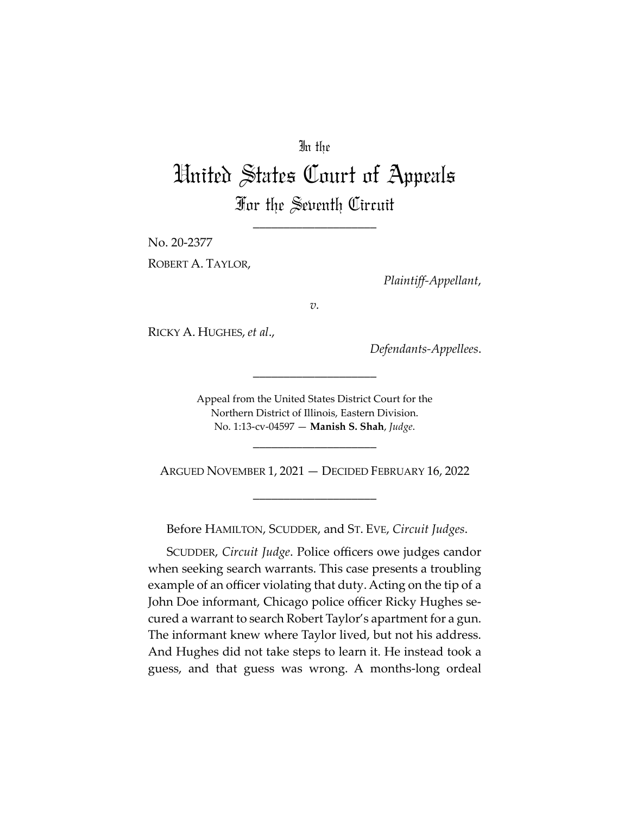# In the

# United States Court of Appeals For the Seventh Circuit

\_\_\_\_\_\_\_\_\_\_\_\_\_\_\_\_\_\_\_\_

No. 20-2377

ROBERT A. TAYLOR,

*Plaintiff-Appellant*,

*v.*

RICKY A. HUGHES, *et al*.,

*Defendants-Appellees*.

Appeal from the United States District Court for the Northern District of Illinois, Eastern Division. No. 1:13-cv-04597 — **Manish S. Shah**, *Judge*.

\_\_\_\_\_\_\_\_\_\_\_\_\_\_\_\_\_\_\_\_

\_\_\_\_\_\_\_\_\_\_\_\_\_\_\_\_\_\_\_\_

ARGUED NOVEMBER 1, 2021 — DECIDED FEBRUARY 16, 2022

\_\_\_\_\_\_\_\_\_\_\_\_\_\_\_\_\_\_\_\_

Before HAMILTON, SCUDDER, and ST. EVE, *Circuit Judges*.

SCUDDER, *Circuit Judge*. Police officers owe judges candor when seeking search warrants. This case presents a troubling example of an officer violating that duty. Acting on the tip of a John Doe informant, Chicago police officer Ricky Hughes secured a warrant to search Robert Taylor's apartment for a gun. The informant knew where Taylor lived, but not his address. And Hughes did not take steps to learn it. He instead took a guess, and that guess was wrong. A months-long ordeal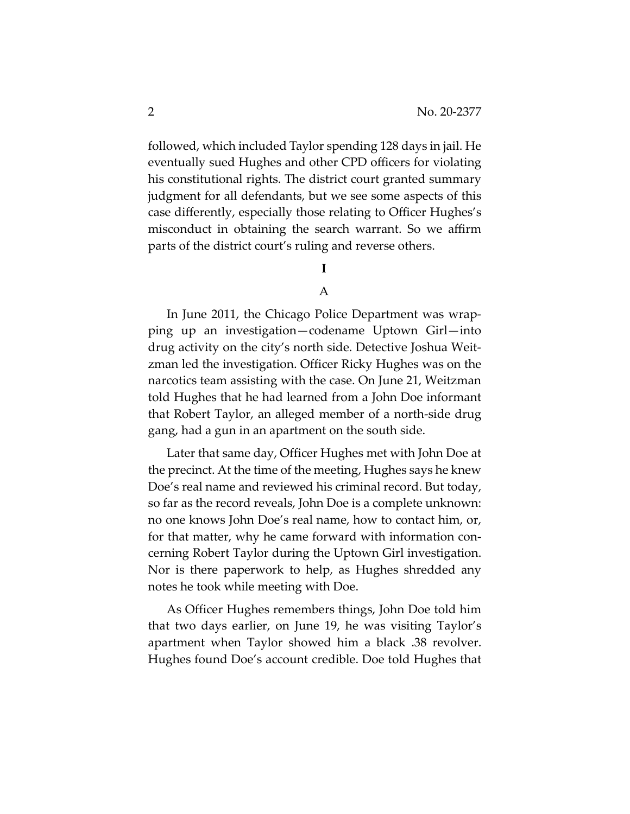followed, which included Taylor spending 128 days in jail. He eventually sued Hughes and other CPD officers for violating his constitutional rights. The district court granted summary judgment for all defendants, but we see some aspects of this case differently, especially those relating to Officer Hughes's misconduct in obtaining the search warrant. So we affirm parts of the district court's ruling and reverse others.

# **I**

## A

In June 2011, the Chicago Police Department was wrapping up an investigation—codename Uptown Girl—into drug activity on the city's north side. Detective Joshua Weitzman led the investigation. Officer Ricky Hughes was on the narcotics team assisting with the case. On June 21, Weitzman told Hughes that he had learned from a John Doe informant that Robert Taylor, an alleged member of a north-side drug gang, had a gun in an apartment on the south side.

Later that same day, Officer Hughes met with John Doe at the precinct. At the time of the meeting, Hughes says he knew Doe's real name and reviewed his criminal record. But today, so far as the record reveals, John Doe is a complete unknown: no one knows John Doe's real name, how to contact him, or, for that matter, why he came forward with information concerning Robert Taylor during the Uptown Girl investigation. Nor is there paperwork to help, as Hughes shredded any notes he took while meeting with Doe.

As Officer Hughes remembers things, John Doe told him that two days earlier, on June 19, he was visiting Taylor's apartment when Taylor showed him a black .38 revolver. Hughes found Doe's account credible. Doe told Hughes that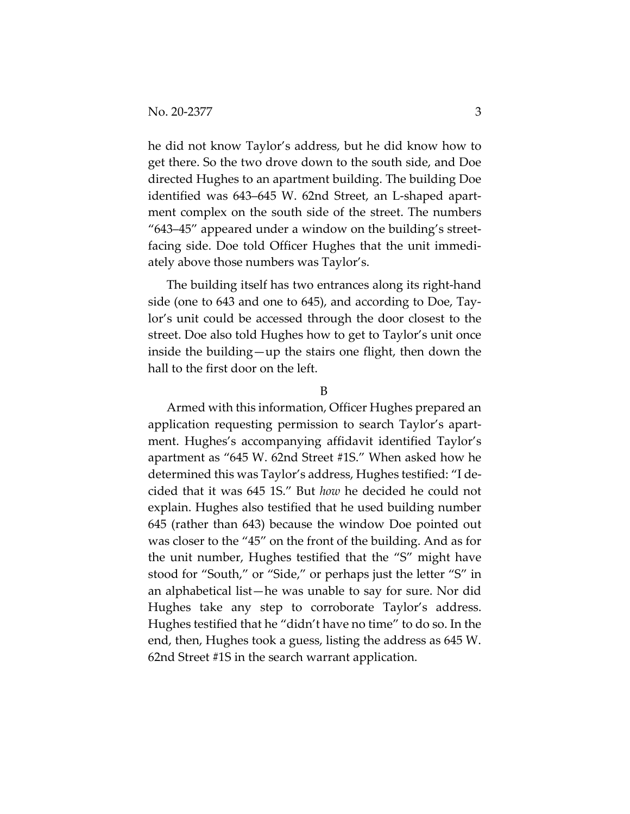he did not know Taylor's address, but he did know how to get there. So the two drove down to the south side, and Doe directed Hughes to an apartment building. The building Doe identified was 643–645 W. 62nd Street, an L-shaped apartment complex on the south side of the street. The numbers "643–45" appeared under a window on the building's streetfacing side. Doe told Officer Hughes that the unit immediately above those numbers was Taylor's.

The building itself has two entrances along its right-hand side (one to 643 and one to 645), and according to Doe, Taylor's unit could be accessed through the door closest to the street. Doe also told Hughes how to get to Taylor's unit once inside the building—up the stairs one flight, then down the hall to the first door on the left.

#### B

Armed with this information, Officer Hughes prepared an application requesting permission to search Taylor's apartment. Hughes's accompanying affidavit identified Taylor's apartment as "645 W. 62nd Street #1S." When asked how he determined this was Taylor's address, Hughes testified: "I decided that it was 645 1S." But *how* he decided he could not explain. Hughes also testified that he used building number 645 (rather than 643) because the window Doe pointed out was closer to the "45" on the front of the building. And as for the unit number, Hughes testified that the "S" might have stood for "South," or "Side," or perhaps just the letter "S" in an alphabetical list—he was unable to say for sure. Nor did Hughes take any step to corroborate Taylor's address. Hughes testified that he "didn't have no time" to do so. In the end, then, Hughes took a guess, listing the address as 645 W. 62nd Street #1S in the search warrant application.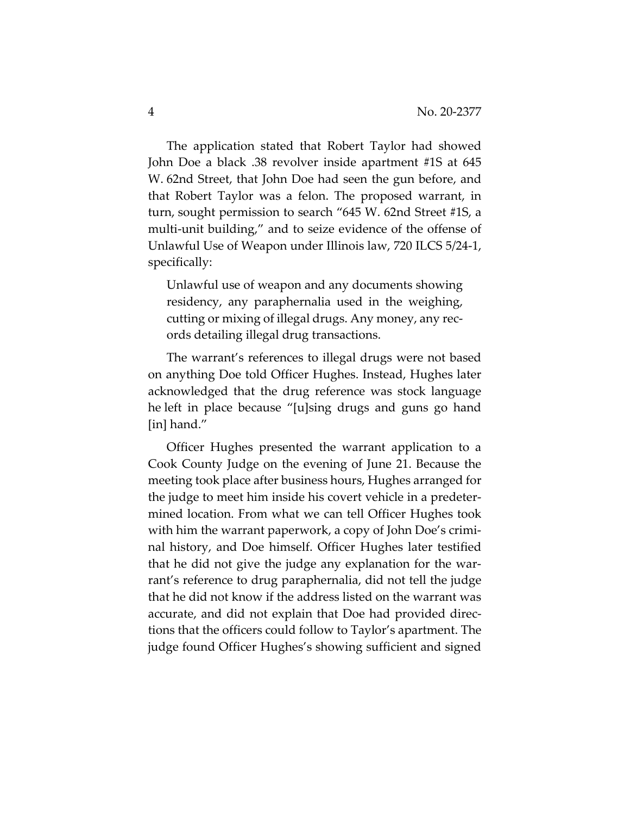The application stated that Robert Taylor had showed John Doe a black .38 revolver inside apartment #1S at 645 W. 62nd Street, that John Doe had seen the gun before, and that Robert Taylor was a felon. The proposed warrant, in turn, sought permission to search "645 W. 62nd Street #1S, a multi-unit building," and to seize evidence of the offense of Unlawful Use of Weapon under Illinois law, 720 ILCS 5/24-1, specifically:

Unlawful use of weapon and any documents showing residency, any paraphernalia used in the weighing, cutting or mixing of illegal drugs. Any money, any records detailing illegal drug transactions.

The warrant's references to illegal drugs were not based on anything Doe told Officer Hughes. Instead, Hughes later acknowledged that the drug reference was stock language he left in place because "[u]sing drugs and guns go hand [in] hand."

Officer Hughes presented the warrant application to a Cook County Judge on the evening of June 21. Because the meeting took place after business hours, Hughes arranged for the judge to meet him inside his covert vehicle in a predetermined location. From what we can tell Officer Hughes took with him the warrant paperwork, a copy of John Doe's criminal history, and Doe himself. Officer Hughes later testified that he did not give the judge any explanation for the warrant's reference to drug paraphernalia, did not tell the judge that he did not know if the address listed on the warrant was accurate, and did not explain that Doe had provided directions that the officers could follow to Taylor's apartment. The judge found Officer Hughes's showing sufficient and signed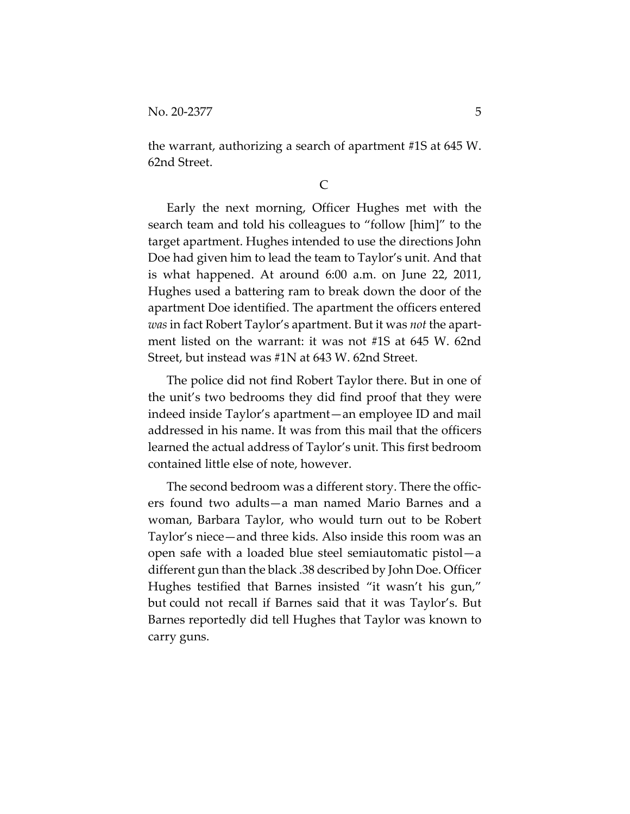the warrant, authorizing a search of apartment #1S at 645 W. 62nd Street.

## C

Early the next morning, Officer Hughes met with the search team and told his colleagues to "follow [him]" to the target apartment. Hughes intended to use the directions John Doe had given him to lead the team to Taylor's unit. And that is what happened. At around 6:00 a.m. on June 22, 2011, Hughes used a battering ram to break down the door of the apartment Doe identified. The apartment the officers entered *was* in fact Robert Taylor's apartment. But it was *not* the apartment listed on the warrant: it was not #1S at 645 W. 62nd Street, but instead was #1N at 643 W. 62nd Street.

The police did not find Robert Taylor there. But in one of the unit's two bedrooms they did find proof that they were indeed inside Taylor's apartment—an employee ID and mail addressed in his name. It was from this mail that the officers learned the actual address of Taylor's unit. This first bedroom contained little else of note, however.

The second bedroom was a different story. There the officers found two adults—a man named Mario Barnes and a woman, Barbara Taylor, who would turn out to be Robert Taylor's niece—and three kids. Also inside this room was an open safe with a loaded blue steel semiautomatic pistol—a different gun than the black .38 described by John Doe. Officer Hughes testified that Barnes insisted "it wasn't his gun," but could not recall if Barnes said that it was Taylor's. But Barnes reportedly did tell Hughes that Taylor was known to carry guns.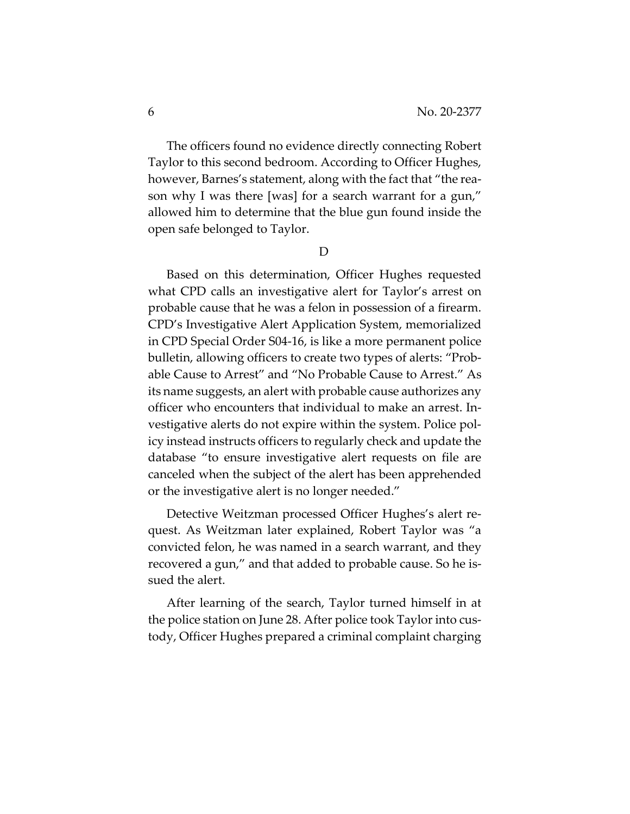The officers found no evidence directly connecting Robert Taylor to this second bedroom. According to Officer Hughes, however, Barnes's statement, along with the fact that "the reason why I was there [was] for a search warrant for a gun," allowed him to determine that the blue gun found inside the open safe belonged to Taylor.

D

Based on this determination, Officer Hughes requested what CPD calls an investigative alert for Taylor's arrest on probable cause that he was a felon in possession of a firearm. CPD's Investigative Alert Application System, memorialized in CPD Special Order S04-16, is like a more permanent police bulletin, allowing officers to create two types of alerts: "Probable Cause to Arrest" and "No Probable Cause to Arrest." As its name suggests, an alert with probable cause authorizes any officer who encounters that individual to make an arrest. Investigative alerts do not expire within the system. Police policy instead instructs officers to regularly check and update the database "to ensure investigative alert requests on file are canceled when the subject of the alert has been apprehended or the investigative alert is no longer needed."

Detective Weitzman processed Officer Hughes's alert request. As Weitzman later explained, Robert Taylor was "a convicted felon, he was named in a search warrant, and they recovered a gun," and that added to probable cause. So he issued the alert.

After learning of the search, Taylor turned himself in at the police station on June 28. After police took Taylor into custody, Officer Hughes prepared a criminal complaint charging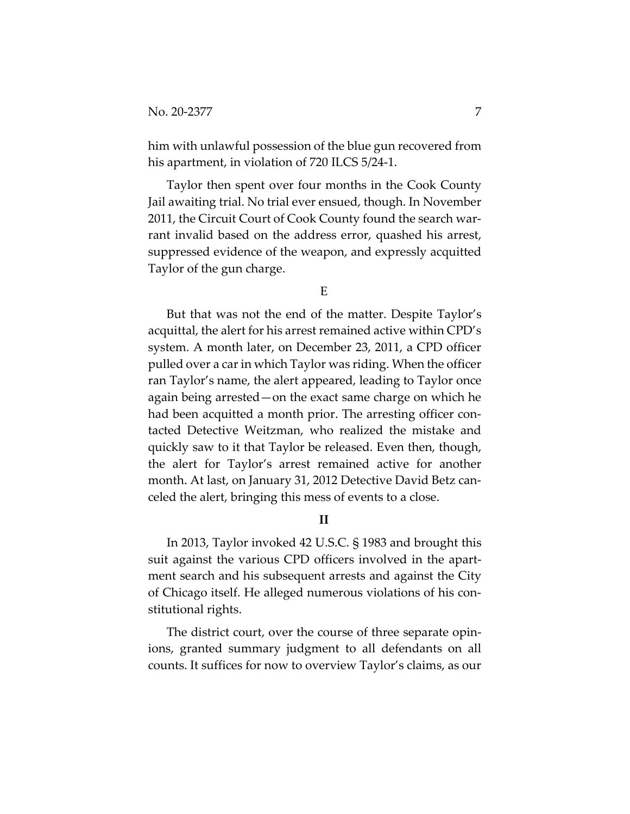him with unlawful possession of the blue gun recovered from his apartment, in violation of 720 ILCS 5/24-1.

Taylor then spent over four months in the Cook County Jail awaiting trial. No trial ever ensued, though. In November 2011, the Circuit Court of Cook County found the search warrant invalid based on the address error, quashed his arrest, suppressed evidence of the weapon, and expressly acquitted Taylor of the gun charge.

E

But that was not the end of the matter. Despite Taylor's acquittal, the alert for his arrest remained active within CPD's system. A month later, on December 23, 2011, a CPD officer pulled over a car in which Taylor was riding. When the officer ran Taylor's name, the alert appeared, leading to Taylor once again being arrested—on the exact same charge on which he had been acquitted a month prior. The arresting officer contacted Detective Weitzman, who realized the mistake and quickly saw to it that Taylor be released. Even then, though, the alert for Taylor's arrest remained active for another month. At last, on January 31, 2012 Detective David Betz canceled the alert, bringing this mess of events to a close.

**II**

In 2013, Taylor invoked 42 U.S.C. § 1983 and brought this suit against the various CPD officers involved in the apartment search and his subsequent arrests and against the City of Chicago itself. He alleged numerous violations of his constitutional rights.

The district court, over the course of three separate opinions, granted summary judgment to all defendants on all counts. It suffices for now to overview Taylor's claims, as our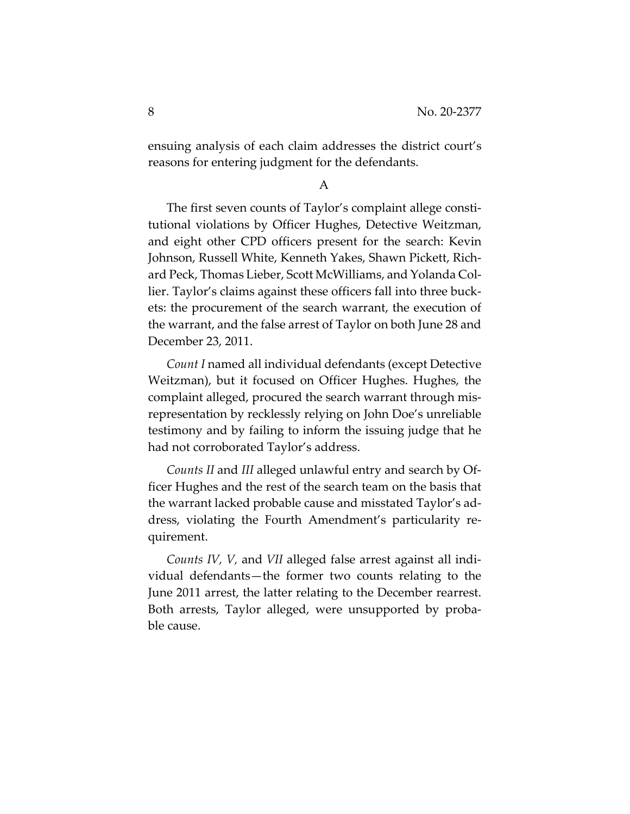ensuing analysis of each claim addresses the district court's reasons for entering judgment for the defendants.

A

The first seven counts of Taylor's complaint allege constitutional violations by Officer Hughes, Detective Weitzman, and eight other CPD officers present for the search: Kevin Johnson, Russell White, Kenneth Yakes, Shawn Pickett, Richard Peck, Thomas Lieber, Scott McWilliams, and Yolanda Collier. Taylor's claims against these officers fall into three buckets: the procurement of the search warrant, the execution of the warrant, and the false arrest of Taylor on both June 28 and December 23, 2011.

*Count I* named all individual defendants (except Detective Weitzman), but it focused on Officer Hughes. Hughes, the complaint alleged, procured the search warrant through misrepresentation by recklessly relying on John Doe's unreliable testimony and by failing to inform the issuing judge that he had not corroborated Taylor's address.

*Counts II* and *III* alleged unlawful entry and search by Officer Hughes and the rest of the search team on the basis that the warrant lacked probable cause and misstated Taylor's address, violating the Fourth Amendment's particularity requirement.

*Counts IV, V,* and *VII* alleged false arrest against all individual defendants—the former two counts relating to the June 2011 arrest, the latter relating to the December rearrest. Both arrests, Taylor alleged, were unsupported by probable cause.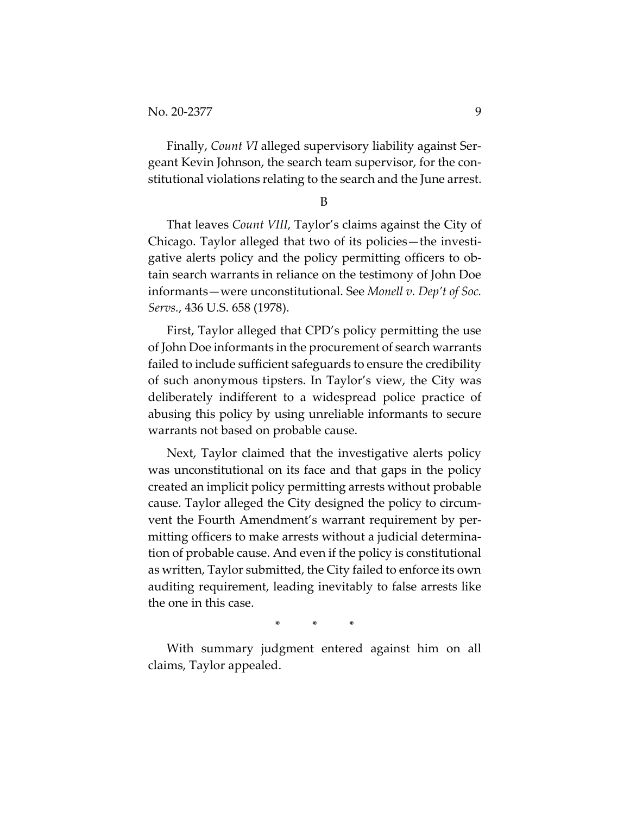Finally, *Count VI* alleged supervisory liability against Sergeant Kevin Johnson, the search team supervisor, for the constitutional violations relating to the search and the June arrest.

B

That leaves *Count VIII*, Taylor's claims against the City of Chicago. Taylor alleged that two of its policies—the investigative alerts policy and the policy permitting officers to obtain search warrants in reliance on the testimony of John Doe informants—were unconstitutional. See *Monell v. Dep't of Soc. Servs.*, 436 U.S. 658 (1978).

First, Taylor alleged that CPD's policy permitting the use of John Doe informants in the procurement of search warrants failed to include sufficient safeguards to ensure the credibility of such anonymous tipsters. In Taylor's view, the City was deliberately indifferent to a widespread police practice of abusing this policy by using unreliable informants to secure warrants not based on probable cause.

Next, Taylor claimed that the investigative alerts policy was unconstitutional on its face and that gaps in the policy created an implicit policy permitting arrests without probable cause. Taylor alleged the City designed the policy to circumvent the Fourth Amendment's warrant requirement by permitting officers to make arrests without a judicial determination of probable cause. And even if the policy is constitutional as written, Taylor submitted, the City failed to enforce its own auditing requirement, leading inevitably to false arrests like the one in this case.

\* \* \*

With summary judgment entered against him on all claims, Taylor appealed.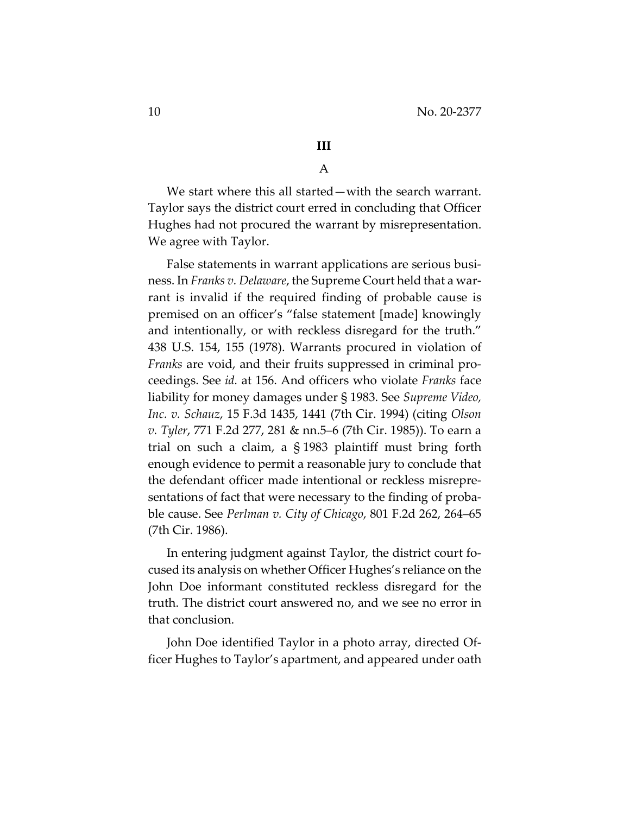# **III**

## A

We start where this all started—with the search warrant. Taylor says the district court erred in concluding that Officer Hughes had not procured the warrant by misrepresentation. We agree with Taylor.

False statements in warrant applications are serious business. In *Franks v. Delaware*, the Supreme Court held that a warrant is invalid if the required finding of probable cause is premised on an officer's "false statement [made] knowingly and intentionally, or with reckless disregard for the truth." 438 U.S. 154, 155 (1978). Warrants procured in violation of *Franks* are void, and their fruits suppressed in criminal proceedings. See *id.* at 156. And officers who violate *Franks* face liability for money damages under § 1983. See *Supreme Video, Inc. v. Schauz*, 15 F.3d 1435, 1441 (7th Cir. 1994) (citing *Olson v. Tyler*, 771 F.2d 277, 281 & nn.5–6 (7th Cir. 1985)). To earn a trial on such a claim, a § 1983 plaintiff must bring forth enough evidence to permit a reasonable jury to conclude that the defendant officer made intentional or reckless misrepresentations of fact that were necessary to the finding of probable cause. See *Perlman v. City of Chicago*, 801 F.2d 262, 264–65 (7th Cir. 1986).

In entering judgment against Taylor, the district court focused its analysis on whether Officer Hughes's reliance on the John Doe informant constituted reckless disregard for the truth. The district court answered no, and we see no error in that conclusion.

John Doe identified Taylor in a photo array, directed Officer Hughes to Taylor's apartment, and appeared under oath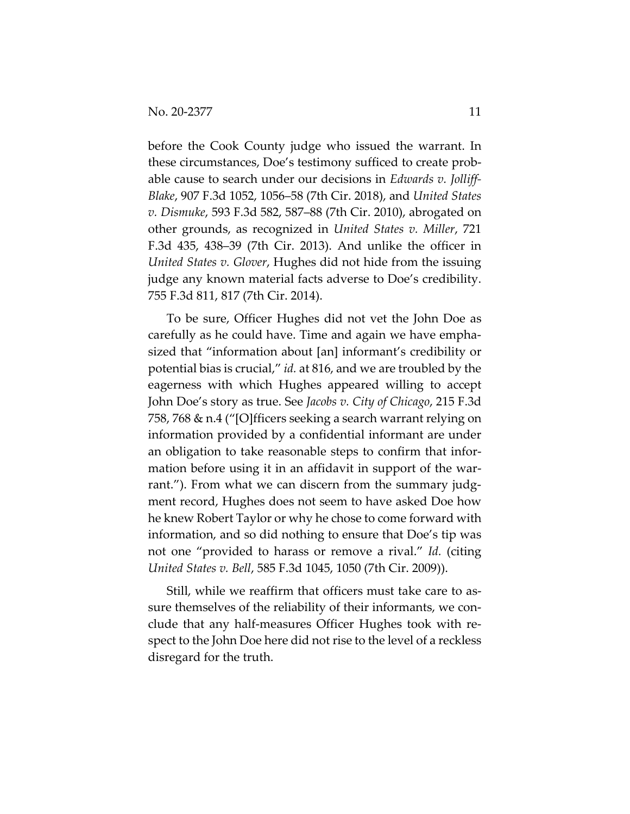before the Cook County judge who issued the warrant. In these circumstances, Doe's testimony sufficed to create probable cause to search under our decisions in *Edwards v. Jolliff-Blake*, 907 F.3d 1052, 1056–58 (7th Cir. 2018), and *United States v. Dismuke*, 593 F.3d 582, 587–88 (7th Cir. 2010), abrogated on other grounds, as recognized in *United States v. Miller*, 721 F.3d 435, 438–39 (7th Cir. 2013). And unlike the officer in *United States v. Glover*, Hughes did not hide from the issuing judge any known material facts adverse to Doe's credibility. 755 F.3d 811, 817 (7th Cir. 2014).

To be sure, Officer Hughes did not vet the John Doe as carefully as he could have. Time and again we have emphasized that "information about [an] informant's credibility or potential bias is crucial," *id.* at 816, and we are troubled by the eagerness with which Hughes appeared willing to accept John Doe's story as true. See *Jacobs v. City of Chicago*, 215 F.3d 758, 768 & n.4 ("[O]fficers seeking a search warrant relying on information provided by a confidential informant are under an obligation to take reasonable steps to confirm that information before using it in an affidavit in support of the warrant."). From what we can discern from the summary judgment record, Hughes does not seem to have asked Doe how he knew Robert Taylor or why he chose to come forward with information, and so did nothing to ensure that Doe's tip was not one "provided to harass or remove a rival." *Id.* (citing *United States v. Bell*, 585 F.3d 1045, 1050 (7th Cir. 2009)).

Still, while we reaffirm that officers must take care to assure themselves of the reliability of their informants, we conclude that any half-measures Officer Hughes took with respect to the John Doe here did not rise to the level of a reckless disregard for the truth.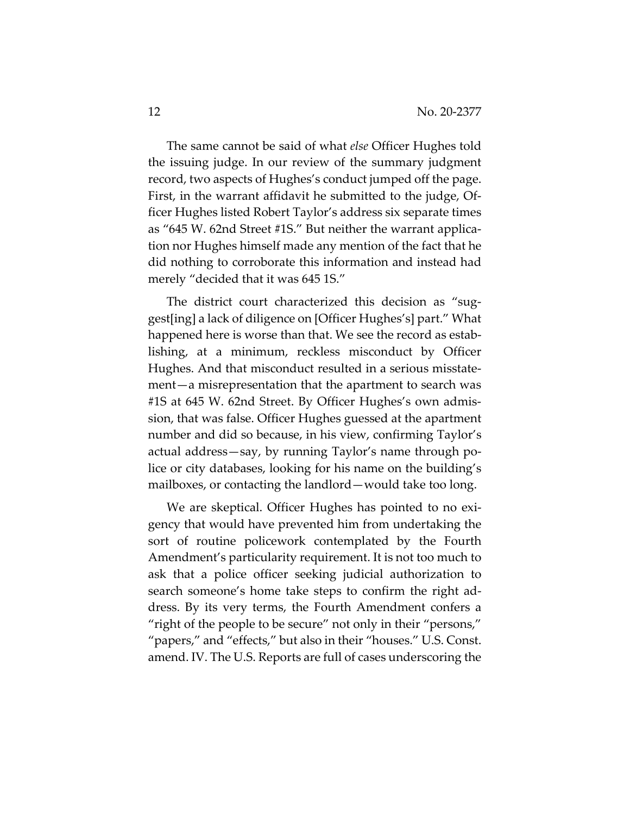The same cannot be said of what *else* Officer Hughes told the issuing judge. In our review of the summary judgment record, two aspects of Hughes's conduct jumped off the page. First, in the warrant affidavit he submitted to the judge, Officer Hughes listed Robert Taylor's address six separate times as "645 W. 62nd Street #1S." But neither the warrant application nor Hughes himself made any mention of the fact that he did nothing to corroborate this information and instead had merely "decided that it was 645 1S."

The district court characterized this decision as "suggest[ing] a lack of diligence on [Officer Hughes's] part." What happened here is worse than that. We see the record as establishing, at a minimum, reckless misconduct by Officer Hughes. And that misconduct resulted in a serious misstatement—a misrepresentation that the apartment to search was #1S at 645 W. 62nd Street. By Officer Hughes's own admission, that was false. Officer Hughes guessed at the apartment number and did so because, in his view, confirming Taylor's actual address—say, by running Taylor's name through police or city databases, looking for his name on the building's mailboxes, or contacting the landlord—would take too long.

We are skeptical. Officer Hughes has pointed to no exigency that would have prevented him from undertaking the sort of routine policework contemplated by the Fourth Amendment's particularity requirement. It is not too much to ask that a police officer seeking judicial authorization to search someone's home take steps to confirm the right address. By its very terms, the Fourth Amendment confers a "right of the people to be secure" not only in their "persons," "papers," and "effects," but also in their "houses." U.S. Const. amend. IV. The U.S. Reports are full of cases underscoring the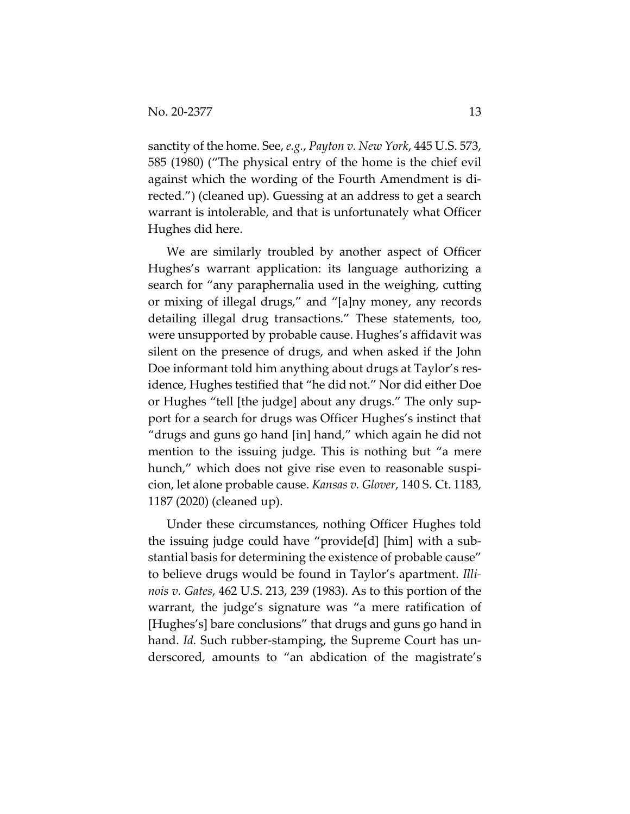sanctity of the home. See, *e.g.*, *Payton v. New York*, 445 U.S. 573, 585 (1980) ("The physical entry of the home is the chief evil against which the wording of the Fourth Amendment is directed.") (cleaned up). Guessing at an address to get a search warrant is intolerable, and that is unfortunately what Officer Hughes did here.

We are similarly troubled by another aspect of Officer Hughes's warrant application: its language authorizing a search for "any paraphernalia used in the weighing, cutting or mixing of illegal drugs," and "[a]ny money, any records detailing illegal drug transactions." These statements, too, were unsupported by probable cause. Hughes's affidavit was silent on the presence of drugs, and when asked if the John Doe informant told him anything about drugs at Taylor's residence, Hughes testified that "he did not." Nor did either Doe or Hughes "tell [the judge] about any drugs." The only support for a search for drugs was Officer Hughes's instinct that "drugs and guns go hand [in] hand," which again he did not mention to the issuing judge. This is nothing but "a mere hunch," which does not give rise even to reasonable suspicion, let alone probable cause. *Kansas v. Glover*, 140 S. Ct. 1183, 1187 (2020) (cleaned up).

Under these circumstances, nothing Officer Hughes told the issuing judge could have "provide[d] [him] with a substantial basis for determining the existence of probable cause" to believe drugs would be found in Taylor's apartment. *Illinois v. Gates*, 462 U.S. 213, 239 (1983). As to this portion of the warrant, the judge's signature was "a mere ratification of [Hughes's] bare conclusions" that drugs and guns go hand in hand. *Id.* Such rubber-stamping, the Supreme Court has underscored, amounts to "an abdication of the magistrate's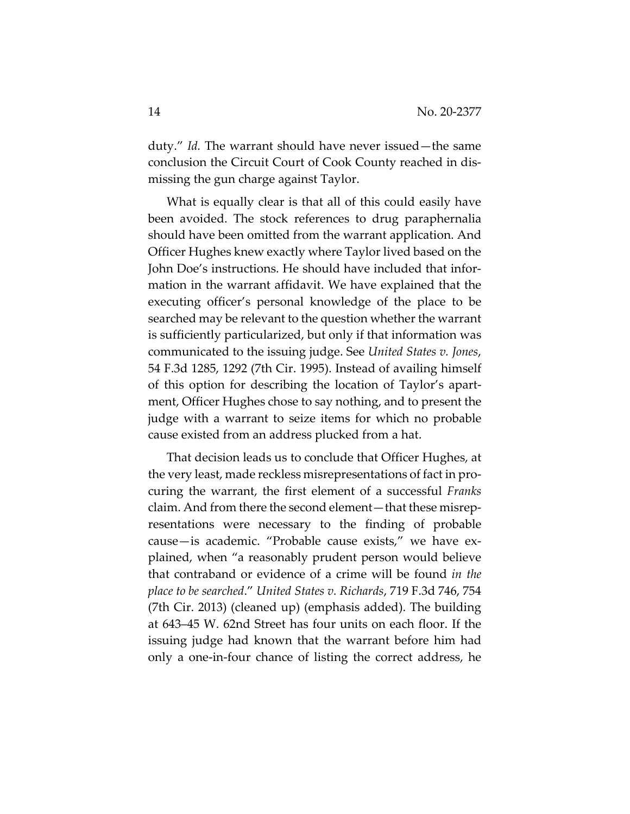duty." *Id.* The warrant should have never issued—the same conclusion the Circuit Court of Cook County reached in dismissing the gun charge against Taylor.

What is equally clear is that all of this could easily have been avoided. The stock references to drug paraphernalia should have been omitted from the warrant application. And Officer Hughes knew exactly where Taylor lived based on the John Doe's instructions. He should have included that information in the warrant affidavit. We have explained that the executing officer's personal knowledge of the place to be searched may be relevant to the question whether the warrant is sufficiently particularized, but only if that information was communicated to the issuing judge. See *United States v. Jones*, 54 F.3d 1285, 1292 (7th Cir. 1995). Instead of availing himself of this option for describing the location of Taylor's apartment, Officer Hughes chose to say nothing, and to present the judge with a warrant to seize items for which no probable cause existed from an address plucked from a hat.

That decision leads us to conclude that Officer Hughes, at the very least, made reckless misrepresentations of fact in procuring the warrant, the first element of a successful *Franks*  claim. And from there the second element—that these misrepresentations were necessary to the finding of probable cause—is academic. "Probable cause exists," we have explained, when "a reasonably prudent person would believe that contraband or evidence of a crime will be found *in the place to be searched*." *United States v. Richards*, 719 F.3d 746, 754 (7th Cir. 2013) (cleaned up) (emphasis added). The building at 643–45 W. 62nd Street has four units on each floor. If the issuing judge had known that the warrant before him had only a one-in-four chance of listing the correct address, he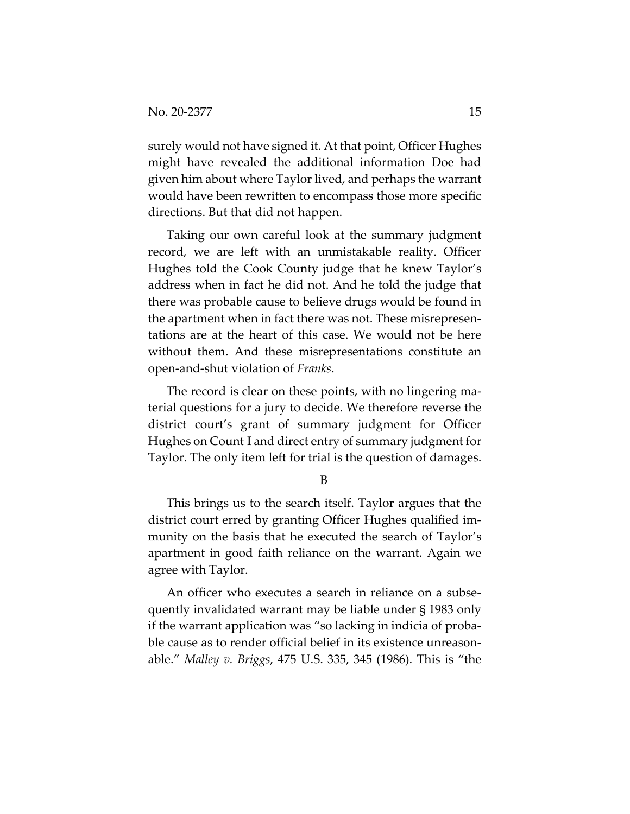surely would not have signed it. At that point, Officer Hughes might have revealed the additional information Doe had given him about where Taylor lived, and perhaps the warrant would have been rewritten to encompass those more specific directions. But that did not happen.

Taking our own careful look at the summary judgment record, we are left with an unmistakable reality. Officer Hughes told the Cook County judge that he knew Taylor's address when in fact he did not. And he told the judge that there was probable cause to believe drugs would be found in the apartment when in fact there was not. These misrepresentations are at the heart of this case. We would not be here without them. And these misrepresentations constitute an open-and-shut violation of *Franks*.

The record is clear on these points, with no lingering material questions for a jury to decide. We therefore reverse the district court's grant of summary judgment for Officer Hughes on Count I and direct entry of summary judgment for Taylor. The only item left for trial is the question of damages.

B

This brings us to the search itself. Taylor argues that the district court erred by granting Officer Hughes qualified immunity on the basis that he executed the search of Taylor's apartment in good faith reliance on the warrant. Again we agree with Taylor.

An officer who executes a search in reliance on a subsequently invalidated warrant may be liable under § 1983 only if the warrant application was "so lacking in indicia of probable cause as to render official belief in its existence unreasonable." *Malley v. Briggs*, 475 U.S. 335, 345 (1986). This is "the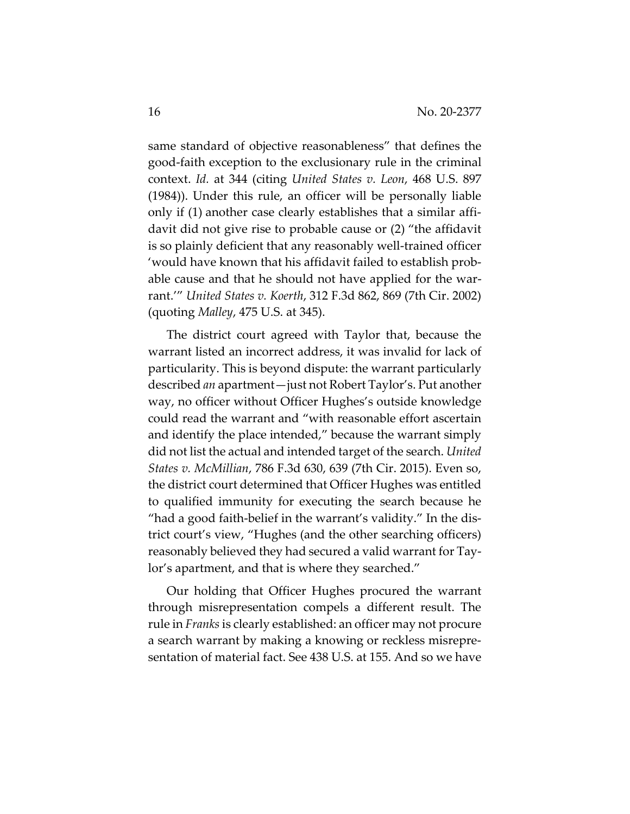same standard of objective reasonableness" that defines the good-faith exception to the exclusionary rule in the criminal context. *Id.* at 344 (citing *United States v. Leon*, 468 U.S. 897 (1984)). Under this rule, an officer will be personally liable only if (1) another case clearly establishes that a similar affidavit did not give rise to probable cause or (2) "the affidavit is so plainly deficient that any reasonably well-trained officer 'would have known that his affidavit failed to establish probable cause and that he should not have applied for the warrant.'" *United States v. Koerth*, 312 F.3d 862, 869 (7th Cir. 2002) (quoting *Malley*, 475 U.S. at 345).

The district court agreed with Taylor that, because the warrant listed an incorrect address, it was invalid for lack of particularity. This is beyond dispute: the warrant particularly described *an* apartment—just not Robert Taylor's. Put another way, no officer without Officer Hughes's outside knowledge could read the warrant and "with reasonable effort ascertain and identify the place intended," because the warrant simply did not list the actual and intended target of the search. *United States v. McMillian*, 786 F.3d 630, 639 (7th Cir. 2015). Even so, the district court determined that Officer Hughes was entitled to qualified immunity for executing the search because he "had a good faith-belief in the warrant's validity." In the district court's view, "Hughes (and the other searching officers) reasonably believed they had secured a valid warrant for Taylor's apartment, and that is where they searched."

Our holding that Officer Hughes procured the warrant through misrepresentation compels a different result. The rule in *Franks* is clearly established: an officer may not procure a search warrant by making a knowing or reckless misrepresentation of material fact. See 438 U.S. at 155. And so we have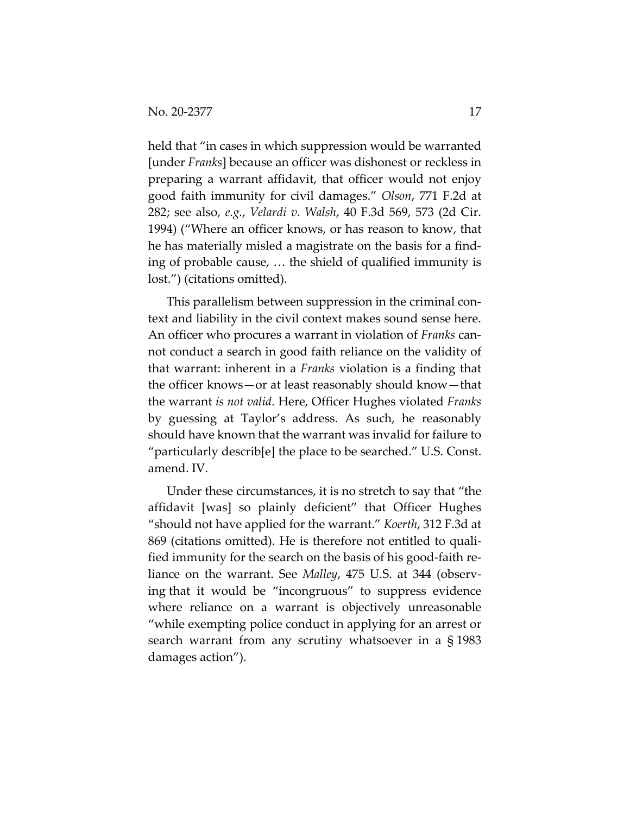held that "in cases in which suppression would be warranted [under *Franks*] because an officer was dishonest or reckless in preparing a warrant affidavit, that officer would not enjoy good faith immunity for civil damages." *Olson*, 771 F.2d at 282; see also, *e.g.*, *Velardi v. Walsh*, 40 F.3d 569, 573 (2d Cir. 1994) ("Where an officer knows, or has reason to know, that he has materially misled a magistrate on the basis for a finding of probable cause, … the shield of qualified immunity is lost.") (citations omitted).

This parallelism between suppression in the criminal context and liability in the civil context makes sound sense here. An officer who procures a warrant in violation of *Franks* cannot conduct a search in good faith reliance on the validity of that warrant: inherent in a *Franks* violation is a finding that the officer knows—or at least reasonably should know—that the warrant *is not valid*. Here, Officer Hughes violated *Franks*  by guessing at Taylor's address. As such, he reasonably should have known that the warrant was invalid for failure to "particularly describ[e] the place to be searched." U.S. Const. amend. IV.

Under these circumstances, it is no stretch to say that "the affidavit [was] so plainly deficient" that Officer Hughes "should not have applied for the warrant." *Koerth*, 312 F.3d at 869 (citations omitted). He is therefore not entitled to qualified immunity for the search on the basis of his good-faith reliance on the warrant. See *Malley*, 475 U.S. at 344 (observing that it would be "incongruous" to suppress evidence where reliance on a warrant is objectively unreasonable "while exempting police conduct in applying for an arrest or search warrant from any scrutiny whatsoever in a § 1983 damages action").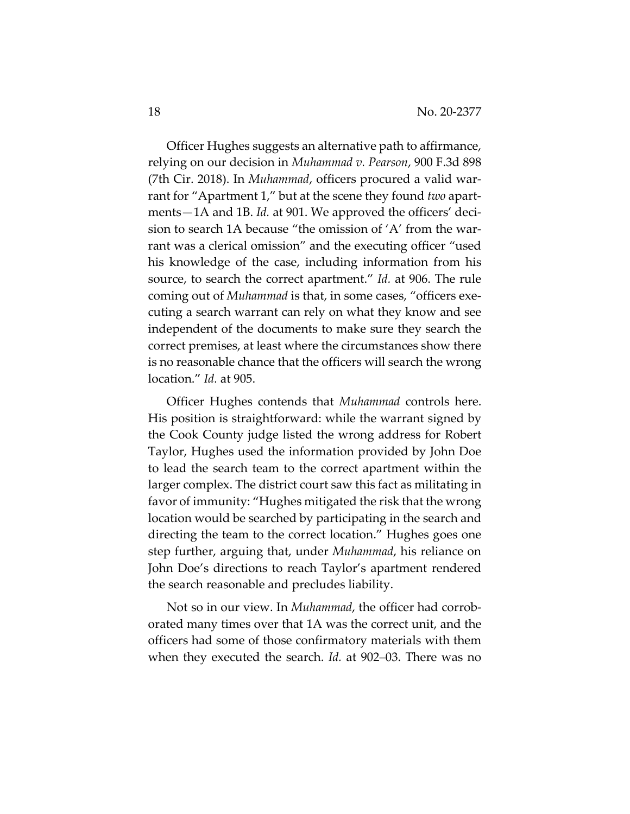Officer Hughes suggests an alternative path to affirmance, relying on our decision in *Muhammad v. Pearson*, 900 F.3d 898 (7th Cir. 2018). In *Muhammad*, officers procured a valid warrant for "Apartment 1," but at the scene they found *two* apartments—1A and 1B. *Id.* at 901. We approved the officers' decision to search 1A because "the omission of 'A' from the warrant was a clerical omission" and the executing officer "used his knowledge of the case, including information from his source, to search the correct apartment." *Id.* at 906. The rule coming out of *Muhammad* is that, in some cases, "officers executing a search warrant can rely on what they know and see independent of the documents to make sure they search the correct premises, at least where the circumstances show there is no reasonable chance that the officers will search the wrong location." *Id.* at 905.

Officer Hughes contends that *Muhammad* controls here. His position is straightforward: while the warrant signed by the Cook County judge listed the wrong address for Robert Taylor, Hughes used the information provided by John Doe to lead the search team to the correct apartment within the larger complex. The district court saw this fact as militating in favor of immunity: "Hughes mitigated the risk that the wrong location would be searched by participating in the search and directing the team to the correct location." Hughes goes one step further, arguing that, under *Muhammad*, his reliance on John Doe's directions to reach Taylor's apartment rendered the search reasonable and precludes liability.

Not so in our view. In *Muhammad*, the officer had corroborated many times over that 1A was the correct unit, and the officers had some of those confirmatory materials with them when they executed the search. *Id.* at 902–03. There was no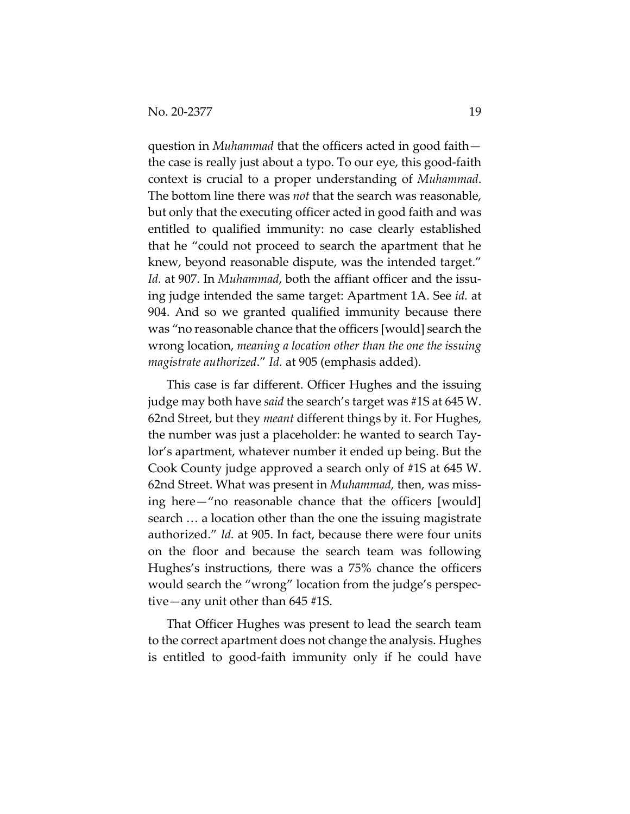question in *Muhammad* that the officers acted in good faith the case is really just about a typo. To our eye, this good-faith context is crucial to a proper understanding of *Muhammad*. The bottom line there was *not* that the search was reasonable, but only that the executing officer acted in good faith and was entitled to qualified immunity: no case clearly established that he "could not proceed to search the apartment that he knew, beyond reasonable dispute, was the intended target." *Id.* at 907. In *Muhammad*, both the affiant officer and the issuing judge intended the same target: Apartment 1A. See *id.* at 904. And so we granted qualified immunity because there was "no reasonable chance that the officers [would] search the wrong location, *meaning a location other than the one the issuing magistrate authorized*." *Id.* at 905 (emphasis added).

This case is far different. Officer Hughes and the issuing judge may both have *said* the search's target was #1S at 645 W. 62nd Street, but they *meant* different things by it. For Hughes, the number was just a placeholder: he wanted to search Taylor's apartment, whatever number it ended up being. But the Cook County judge approved a search only of #1S at 645 W. 62nd Street. What was present in *Muhammad*, then, was missing here—"no reasonable chance that the officers [would] search … a location other than the one the issuing magistrate authorized." *Id.* at 905. In fact, because there were four units on the floor and because the search team was following Hughes's instructions, there was a 75% chance the officers would search the "wrong" location from the judge's perspective—any unit other than 645 #1S.

That Officer Hughes was present to lead the search team to the correct apartment does not change the analysis. Hughes is entitled to good-faith immunity only if he could have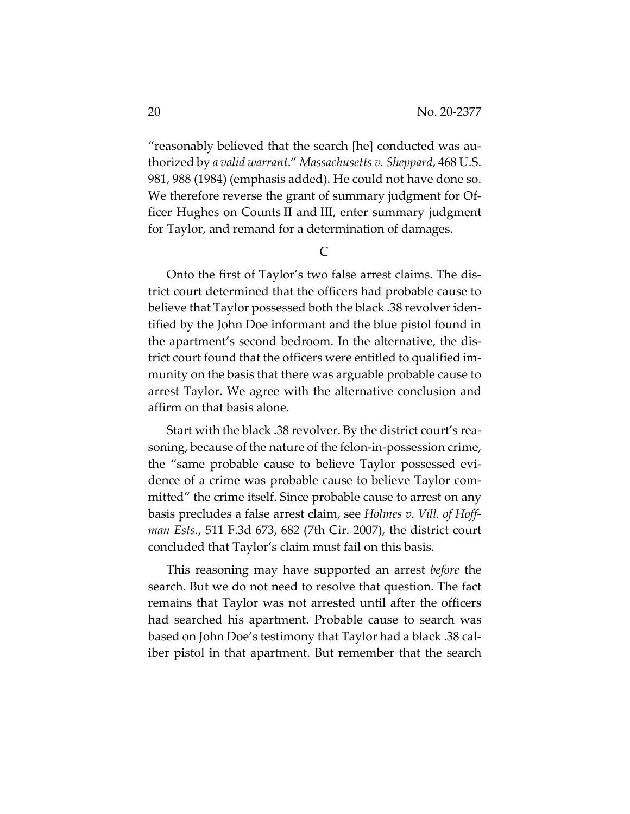"reasonably believed that the search [he] conducted was authorized by *a valid warrant*." *Massachusetts v. Sheppard*, 468 U.S. 981, 988 (1984) (emphasis added). He could not have done so. We therefore reverse the grant of summary judgment for Officer Hughes on Counts II and III, enter summary judgment for Taylor, and remand for a determination of damages.

C

Onto the first of Taylor's two false arrest claims. The district court determined that the officers had probable cause to believe that Taylor possessed both the black .38 revolver identified by the John Doe informant and the blue pistol found in the apartment's second bedroom. In the alternative, the district court found that the officers were entitled to qualified immunity on the basis that there was arguable probable cause to arrest Taylor. We agree with the alternative conclusion and affirm on that basis alone.

Start with the black .38 revolver. By the district court's reasoning, because of the nature of the felon-in-possession crime, the "same probable cause to believe Taylor possessed evidence of a crime was probable cause to believe Taylor committed" the crime itself. Since probable cause to arrest on any basis precludes a false arrest claim, see *Holmes v. Vill. of Hoffman Ests.*, 511 F.3d 673, 682 (7th Cir. 2007), the district court concluded that Taylor's claim must fail on this basis.

This reasoning may have supported an arrest *before* the search. But we do not need to resolve that question. The fact remains that Taylor was not arrested until after the officers had searched his apartment. Probable cause to search was based on John Doe's testimony that Taylor had a black .38 caliber pistol in that apartment. But remember that the search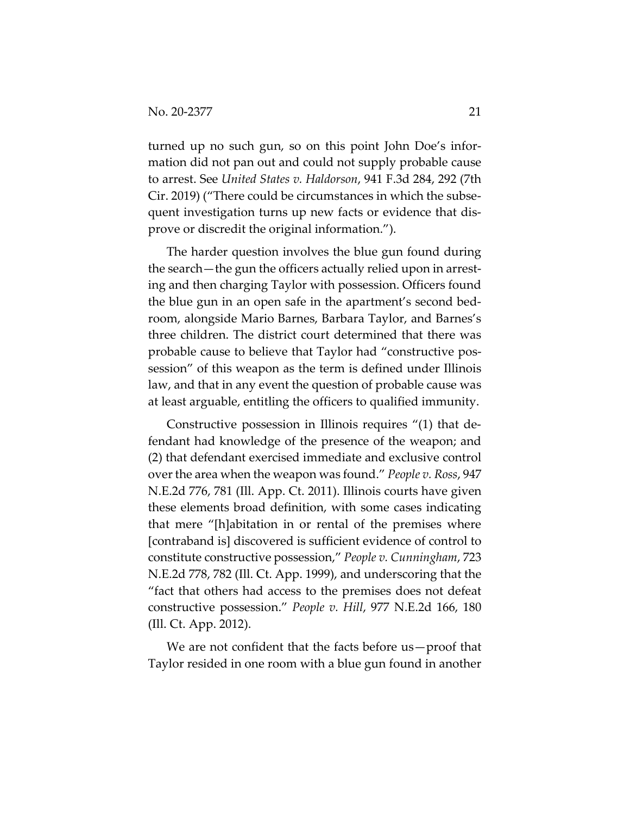turned up no such gun, so on this point John Doe's information did not pan out and could not supply probable cause to arrest. See *United States v. Haldorson*, 941 F.3d 284, 292 (7th Cir. 2019) ("There could be circumstances in which the subsequent investigation turns up new facts or evidence that disprove or discredit the original information.").

The harder question involves the blue gun found during the search—the gun the officers actually relied upon in arresting and then charging Taylor with possession. Officers found the blue gun in an open safe in the apartment's second bedroom, alongside Mario Barnes, Barbara Taylor, and Barnes's three children. The district court determined that there was probable cause to believe that Taylor had "constructive possession" of this weapon as the term is defined under Illinois law, and that in any event the question of probable cause was at least arguable, entitling the officers to qualified immunity.

Constructive possession in Illinois requires "(1) that defendant had knowledge of the presence of the weapon; and (2) that defendant exercised immediate and exclusive control over the area when the weapon was found." *People v. Ross*, 947 N.E.2d 776, 781 (Ill. App. Ct. 2011). Illinois courts have given these elements broad definition, with some cases indicating that mere "[h]abitation in or rental of the premises where [contraband is] discovered is sufficient evidence of control to constitute constructive possession," *People v. Cunningham*, 723 N.E.2d 778, 782 (Ill. Ct. App. 1999), and underscoring that the "fact that others had access to the premises does not defeat constructive possession." *People v. Hill*, 977 N.E.2d 166, 180 (Ill. Ct. App. 2012).

We are not confident that the facts before us-proof that Taylor resided in one room with a blue gun found in another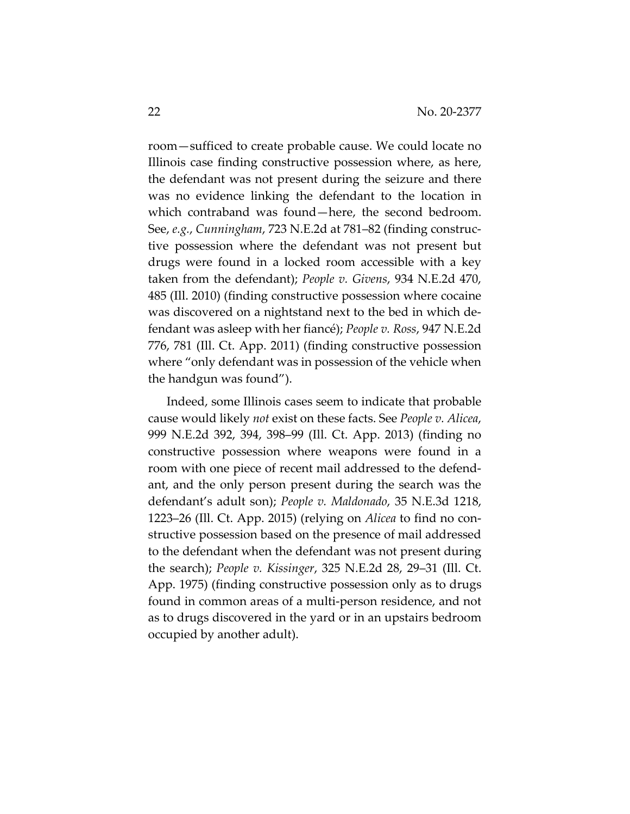room—sufficed to create probable cause. We could locate no Illinois case finding constructive possession where, as here, the defendant was not present during the seizure and there was no evidence linking the defendant to the location in which contraband was found—here, the second bedroom. See, *e.g.*, *Cunningham*, 723 N.E.2d at 781–82 (finding constructive possession where the defendant was not present but drugs were found in a locked room accessible with a key taken from the defendant); *People v. Givens*, 934 N.E.2d 470, 485 (Ill. 2010) (finding constructive possession where cocaine was discovered on a nightstand next to the bed in which defendant was asleep with her fiancé); *People v. Ross*, 947 N.E.2d 776, 781 (Ill. Ct. App. 2011) (finding constructive possession where "only defendant was in possession of the vehicle when the handgun was found").

Indeed, some Illinois cases seem to indicate that probable cause would likely *not* exist on these facts. See *People v. Alicea*, 999 N.E.2d 392, 394, 398–99 (Ill. Ct. App. 2013) (finding no constructive possession where weapons were found in a room with one piece of recent mail addressed to the defendant, and the only person present during the search was the defendant's adult son); *People v. Maldonado*, 35 N.E.3d 1218, 1223–26 (Ill. Ct. App. 2015) (relying on *Alicea* to find no constructive possession based on the presence of mail addressed to the defendant when the defendant was not present during the search); *People v. Kissinger*, 325 N.E.2d 28, 29–31 (Ill. Ct. App. 1975) (finding constructive possession only as to drugs found in common areas of a multi-person residence, and not as to drugs discovered in the yard or in an upstairs bedroom occupied by another adult).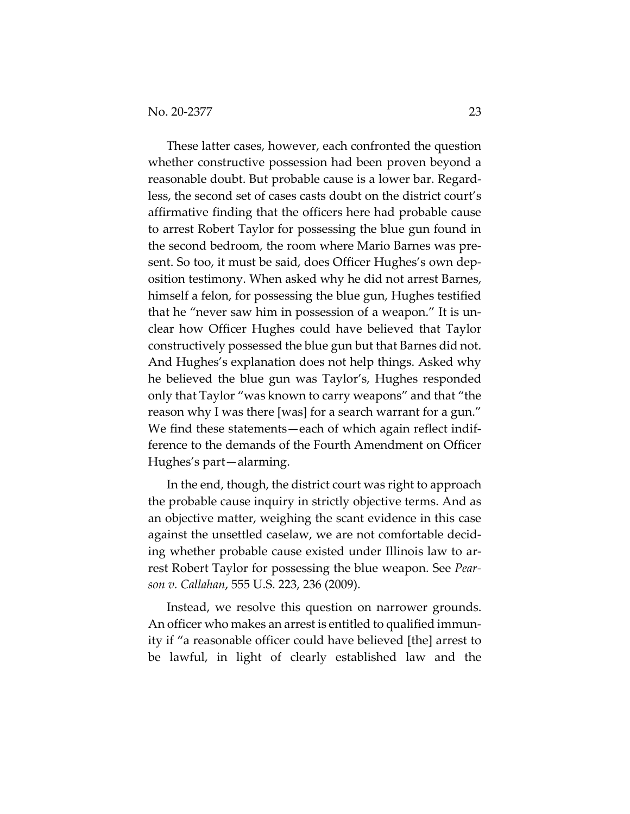These latter cases, however, each confronted the question whether constructive possession had been proven beyond a reasonable doubt. But probable cause is a lower bar. Regardless, the second set of cases casts doubt on the district court's affirmative finding that the officers here had probable cause to arrest Robert Taylor for possessing the blue gun found in the second bedroom, the room where Mario Barnes was present. So too, it must be said, does Officer Hughes's own deposition testimony. When asked why he did not arrest Barnes, himself a felon, for possessing the blue gun, Hughes testified that he "never saw him in possession of a weapon." It is unclear how Officer Hughes could have believed that Taylor constructively possessed the blue gun but that Barnes did not. And Hughes's explanation does not help things. Asked why he believed the blue gun was Taylor's, Hughes responded only that Taylor "was known to carry weapons" and that "the reason why I was there [was] for a search warrant for a gun." We find these statements—each of which again reflect indifference to the demands of the Fourth Amendment on Officer Hughes's part—alarming.

In the end, though, the district court was right to approach the probable cause inquiry in strictly objective terms. And as an objective matter, weighing the scant evidence in this case against the unsettled caselaw, we are not comfortable deciding whether probable cause existed under Illinois law to arrest Robert Taylor for possessing the blue weapon. See *Pearson v. Callahan*, 555 U.S. 223, 236 (2009).

Instead, we resolve this question on narrower grounds. An officer who makes an arrest is entitled to qualified immunity if "a reasonable officer could have believed [the] arrest to be lawful, in light of clearly established law and the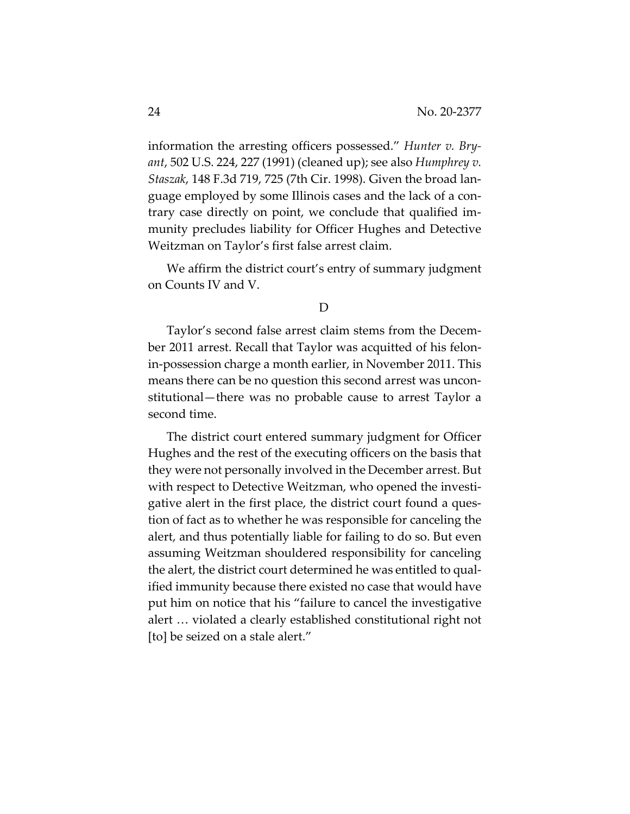information the arresting officers possessed." *Hunter v. Bryant*, 502 U.S. 224, 227 (1991) (cleaned up); see also *Humphrey v. Staszak*, 148 F.3d 719, 725 (7th Cir. 1998). Given the broad language employed by some Illinois cases and the lack of a contrary case directly on point, we conclude that qualified immunity precludes liability for Officer Hughes and Detective Weitzman on Taylor's first false arrest claim.

We affirm the district court's entry of summary judgment on Counts IV and V.

### D

Taylor's second false arrest claim stems from the December 2011 arrest. Recall that Taylor was acquitted of his felonin-possession charge a month earlier, in November 2011. This means there can be no question this second arrest was unconstitutional—there was no probable cause to arrest Taylor a second time.

The district court entered summary judgment for Officer Hughes and the rest of the executing officers on the basis that they were not personally involved in the December arrest. But with respect to Detective Weitzman, who opened the investigative alert in the first place, the district court found a question of fact as to whether he was responsible for canceling the alert, and thus potentially liable for failing to do so. But even assuming Weitzman shouldered responsibility for canceling the alert, the district court determined he was entitled to qualified immunity because there existed no case that would have put him on notice that his "failure to cancel the investigative alert … violated a clearly established constitutional right not [to] be seized on a stale alert."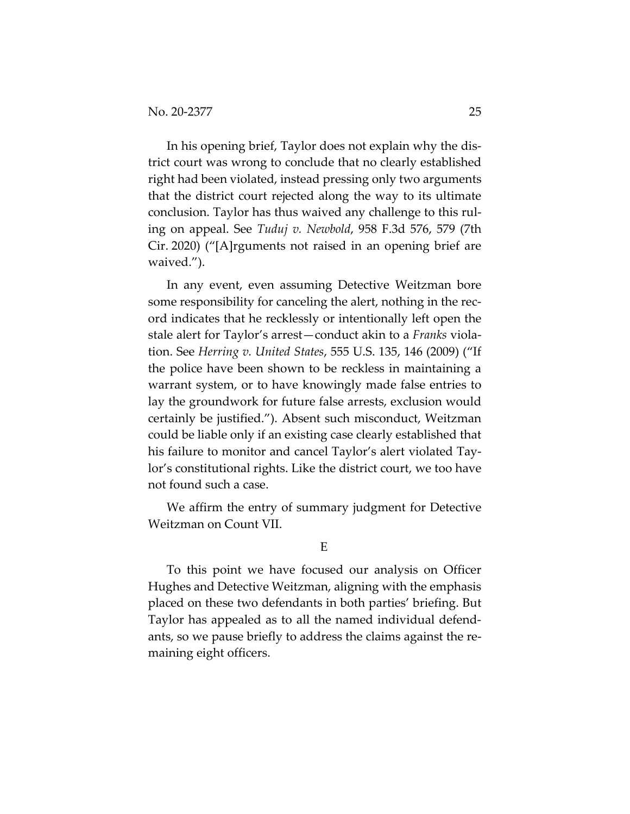In his opening brief, Taylor does not explain why the district court was wrong to conclude that no clearly established right had been violated, instead pressing only two arguments that the district court rejected along the way to its ultimate conclusion. Taylor has thus waived any challenge to this ruling on appeal. See *Tuduj v. Newbold*, 958 F.3d 576, 579 (7th Cir. 2020) ("[A]rguments not raised in an opening brief are waived.").

In any event, even assuming Detective Weitzman bore some responsibility for canceling the alert, nothing in the record indicates that he recklessly or intentionally left open the stale alert for Taylor's arrest—conduct akin to a *Franks* violation. See *Herring v. United States*, 555 U.S. 135, 146 (2009) ("If the police have been shown to be reckless in maintaining a warrant system, or to have knowingly made false entries to lay the groundwork for future false arrests, exclusion would certainly be justified."). Absent such misconduct, Weitzman could be liable only if an existing case clearly established that his failure to monitor and cancel Taylor's alert violated Taylor's constitutional rights. Like the district court, we too have not found such a case.

We affirm the entry of summary judgment for Detective Weitzman on Count VII.

#### E

To this point we have focused our analysis on Officer Hughes and Detective Weitzman, aligning with the emphasis placed on these two defendants in both parties' briefing. But Taylor has appealed as to all the named individual defendants, so we pause briefly to address the claims against the remaining eight officers.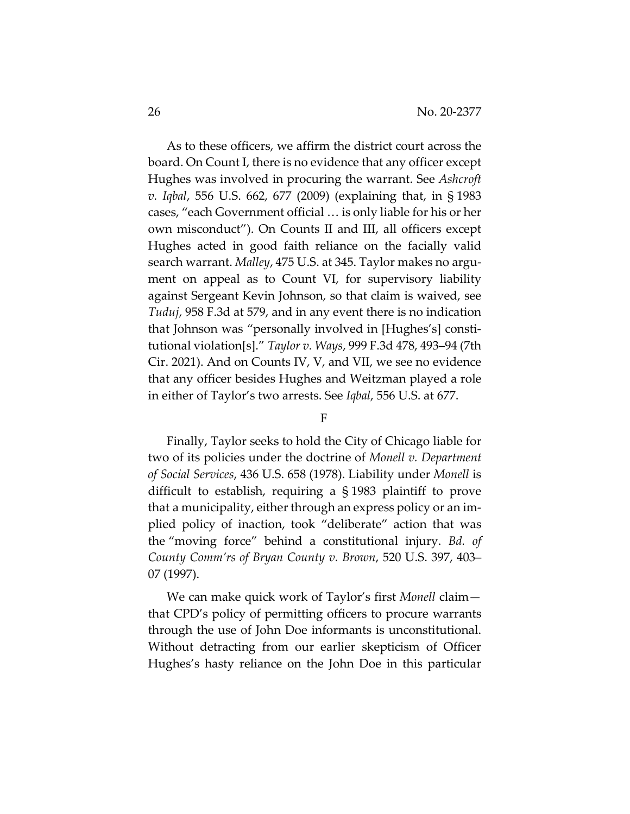As to these officers, we affirm the district court across the board. On Count I, there is no evidence that any officer except Hughes was involved in procuring the warrant. See *Ashcroft v. Iqbal*, 556 U.S. 662, 677 (2009) (explaining that, in § 1983 cases, "each Government official … is only liable for his or her own misconduct"). On Counts II and III, all officers except Hughes acted in good faith reliance on the facially valid search warrant. *Malley*, 475 U.S. at 345. Taylor makes no argument on appeal as to Count VI, for supervisory liability against Sergeant Kevin Johnson, so that claim is waived, see *Tuduj*, 958 F.3d at 579, and in any event there is no indication that Johnson was "personally involved in [Hughes's] constitutional violation[s]." *Taylor v. Ways*, 999 F.3d 478, 493–94 (7th Cir. 2021). And on Counts IV, V, and VII, we see no evidence that any officer besides Hughes and Weitzman played a role in either of Taylor's two arrests. See *Iqbal*, 556 U.S. at 677.

#### F

Finally, Taylor seeks to hold the City of Chicago liable for two of its policies under the doctrine of *Monell v. Department of Social Services*, 436 U.S. 658 (1978). Liability under *Monell* is difficult to establish, requiring a § 1983 plaintiff to prove that a municipality, either through an express policy or an implied policy of inaction, took "deliberate" action that was the "moving force" behind a constitutional injury. *Bd. of County Comm'rs of Bryan County v. Brown*, 520 U.S. 397, 403– 07 (1997).

We can make quick work of Taylor's first *Monell* claim that CPD's policy of permitting officers to procure warrants through the use of John Doe informants is unconstitutional. Without detracting from our earlier skepticism of Officer Hughes's hasty reliance on the John Doe in this particular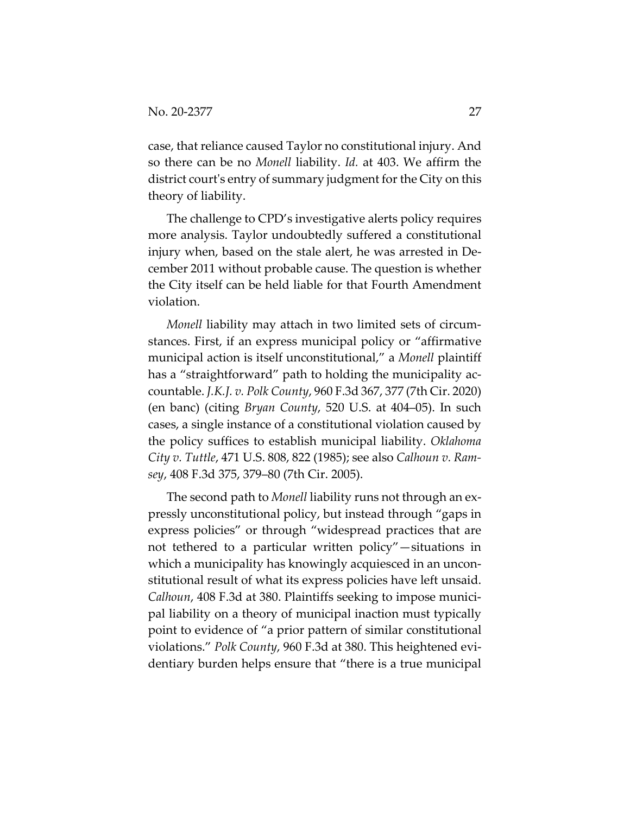case, that reliance caused Taylor no constitutional injury. And so there can be no *Monell* liability. *Id.* at 403. We affirm the district court's entry of summary judgment for the City on this theory of liability.

The challenge to CPD's investigative alerts policy requires more analysis. Taylor undoubtedly suffered a constitutional injury when, based on the stale alert, he was arrested in December 2011 without probable cause. The question is whether the City itself can be held liable for that Fourth Amendment violation.

*Monell* liability may attach in two limited sets of circumstances. First, if an express municipal policy or "affirmative municipal action is itself unconstitutional," a *Monell* plaintiff has a "straightforward" path to holding the municipality accountable. *J.K.J. v. Polk County*, 960 F.3d 367, 377 (7th Cir. 2020) (en banc) (citing *Bryan County*, 520 U.S. at 404–05). In such cases, a single instance of a constitutional violation caused by the policy suffices to establish municipal liability. *Oklahoma City v. Tuttle*, 471 U.S. 808, 822 (1985); see also *Calhoun v. Ramsey*, 408 F.3d 375, 379–80 (7th Cir. 2005).

The second path to *Monell* liability runs not through an expressly unconstitutional policy, but instead through "gaps in express policies" or through "widespread practices that are not tethered to a particular written policy"—situations in which a municipality has knowingly acquiesced in an unconstitutional result of what its express policies have left unsaid. *Calhoun*, 408 F.3d at 380. Plaintiffs seeking to impose municipal liability on a theory of municipal inaction must typically point to evidence of "a prior pattern of similar constitutional violations." *Polk County*, 960 F.3d at 380. This heightened evidentiary burden helps ensure that "there is a true municipal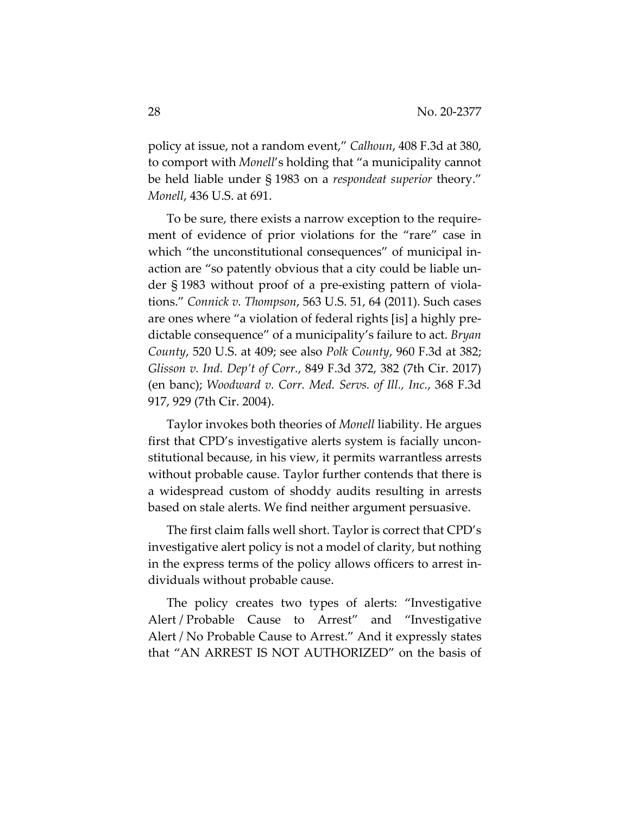policy at issue, not a random event," *Calhoun*, 408 F.3d at 380, to comport with *Monell*'s holding that "a municipality cannot be held liable under § 1983 on a *respondeat superior* theory." *Monell*, 436 U.S. at 691.

To be sure, there exists a narrow exception to the requirement of evidence of prior violations for the "rare" case in which "the unconstitutional consequences" of municipal inaction are "so patently obvious that a city could be liable under § 1983 without proof of a pre-existing pattern of violations." *Connick v. Thompson*, 563 U.S. 51, 64 (2011). Such cases are ones where "a violation of federal rights [is] a highly predictable consequence" of a municipality's failure to act. *Bryan County*, 520 U.S. at 409; see also *Polk County*, 960 F.3d at 382; *Glisson v. Ind. Dep't of Corr.*, 849 F.3d 372, 382 (7th Cir. 2017) (en banc); *Woodward v. Corr. Med. Servs. of Ill., Inc.*, 368 F.3d 917, 929 (7th Cir. 2004).

Taylor invokes both theories of *Monell* liability. He argues first that CPD's investigative alerts system is facially unconstitutional because, in his view, it permits warrantless arrests without probable cause. Taylor further contends that there is a widespread custom of shoddy audits resulting in arrests based on stale alerts. We find neither argument persuasive.

The first claim falls well short. Taylor is correct that CPD's investigative alert policy is not a model of clarity, but nothing in the express terms of the policy allows officers to arrest individuals without probable cause.

The policy creates two types of alerts: "Investigative Alert / Probable Cause to Arrest" and "Investigative Alert / No Probable Cause to Arrest." And it expressly states that "AN ARREST IS NOT AUTHORIZED" on the basis of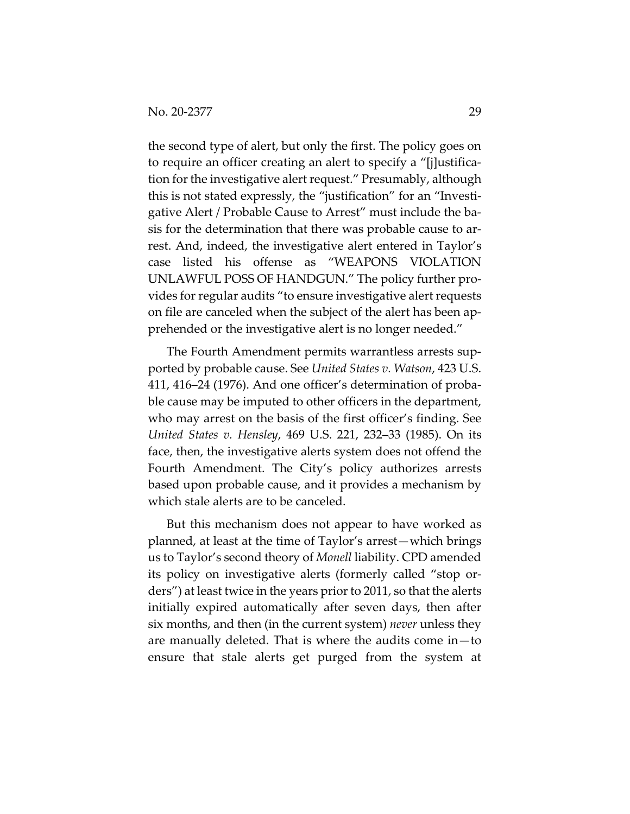the second type of alert, but only the first. The policy goes on to require an officer creating an alert to specify a "[j]ustification for the investigative alert request." Presumably, although this is not stated expressly, the "justification" for an "Investigative Alert / Probable Cause to Arrest" must include the basis for the determination that there was probable cause to arrest. And, indeed, the investigative alert entered in Taylor's case listed his offense as "WEAPONS VIOLATION UNLAWFUL POSS OF HANDGUN." The policy further provides for regular audits "to ensure investigative alert requests on file are canceled when the subject of the alert has been apprehended or the investigative alert is no longer needed."

The Fourth Amendment permits warrantless arrests supported by probable cause. See *United States v. Watson*, 423 U.S. 411, 416–24 (1976). And one officer's determination of probable cause may be imputed to other officers in the department, who may arrest on the basis of the first officer's finding. See *United States v. Hensley*, 469 U.S. 221, 232–33 (1985). On its face, then, the investigative alerts system does not offend the Fourth Amendment. The City's policy authorizes arrests based upon probable cause, and it provides a mechanism by which stale alerts are to be canceled.

But this mechanism does not appear to have worked as planned, at least at the time of Taylor's arrest—which brings us to Taylor's second theory of *Monell* liability. CPD amended its policy on investigative alerts (formerly called "stop orders") at least twice in the years prior to 2011, so that the alerts initially expired automatically after seven days, then after six months, and then (in the current system) *never* unless they are manually deleted. That is where the audits come in—to ensure that stale alerts get purged from the system at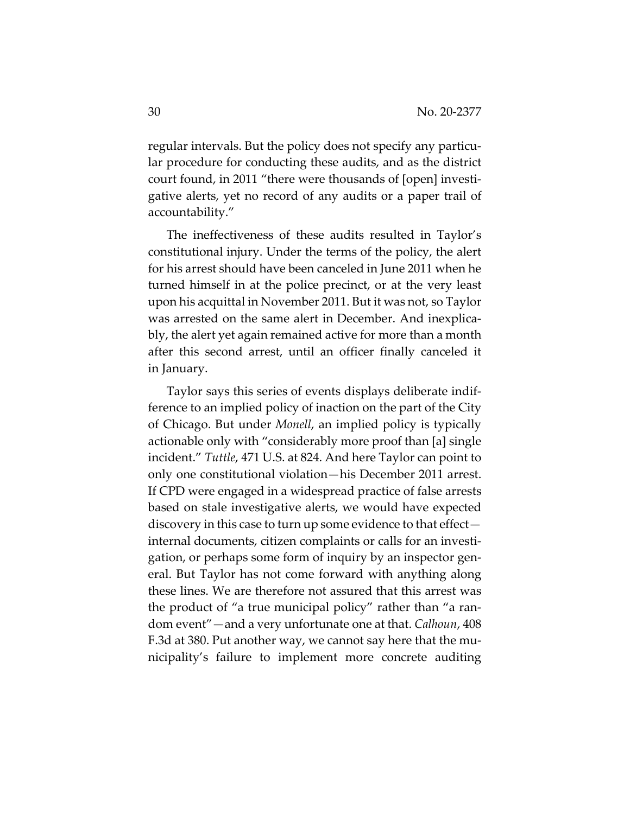regular intervals. But the policy does not specify any particular procedure for conducting these audits, and as the district court found, in 2011 "there were thousands of [open] investigative alerts, yet no record of any audits or a paper trail of accountability."

The ineffectiveness of these audits resulted in Taylor's constitutional injury. Under the terms of the policy, the alert for his arrest should have been canceled in June 2011 when he turned himself in at the police precinct, or at the very least upon his acquittal in November 2011. But it was not, so Taylor was arrested on the same alert in December. And inexplicably, the alert yet again remained active for more than a month after this second arrest, until an officer finally canceled it in January.

Taylor says this series of events displays deliberate indifference to an implied policy of inaction on the part of the City of Chicago. But under *Monell*, an implied policy is typically actionable only with "considerably more proof than [a] single incident." *Tuttle*, 471 U.S. at 824. And here Taylor can point to only one constitutional violation—his December 2011 arrest. If CPD were engaged in a widespread practice of false arrests based on stale investigative alerts, we would have expected discovery in this case to turn up some evidence to that effect internal documents, citizen complaints or calls for an investigation, or perhaps some form of inquiry by an inspector general. But Taylor has not come forward with anything along these lines. We are therefore not assured that this arrest was the product of "a true municipal policy" rather than "a random event"—and a very unfortunate one at that. *Calhoun*, 408 F.3d at 380. Put another way, we cannot say here that the municipality's failure to implement more concrete auditing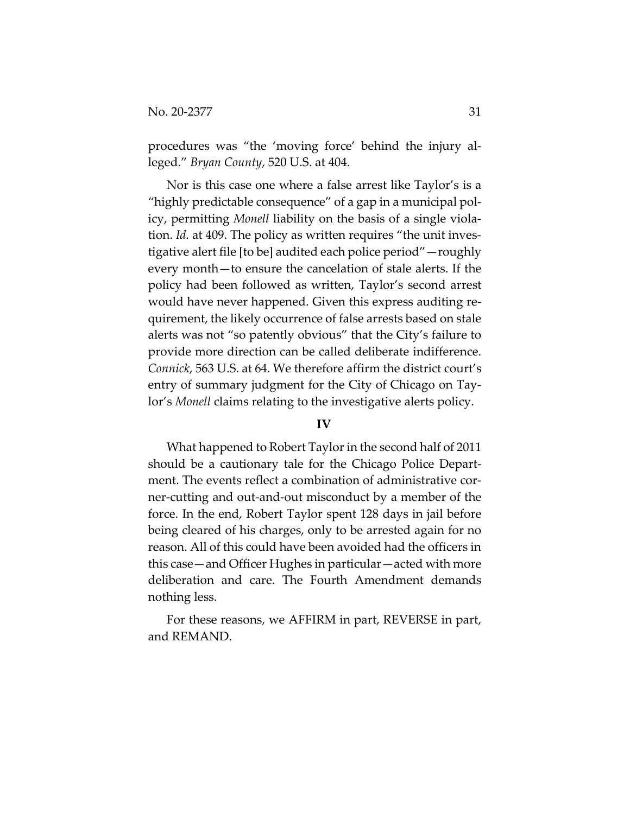procedures was "the 'moving force' behind the injury alleged." *Bryan County*, 520 U.S. at 404.

Nor is this case one where a false arrest like Taylor's is a "highly predictable consequence" of a gap in a municipal policy, permitting *Monell* liability on the basis of a single violation. *Id.* at 409. The policy as written requires "the unit investigative alert file [to be] audited each police period"—roughly every month—to ensure the cancelation of stale alerts. If the policy had been followed as written, Taylor's second arrest would have never happened. Given this express auditing requirement, the likely occurrence of false arrests based on stale alerts was not "so patently obvious" that the City's failure to provide more direction can be called deliberate indifference. *Connick*, 563 U.S. at 64. We therefore affirm the district court's entry of summary judgment for the City of Chicago on Taylor's *Monell* claims relating to the investigative alerts policy.

#### **IV**

What happened to Robert Taylor in the second half of 2011 should be a cautionary tale for the Chicago Police Department. The events reflect a combination of administrative corner-cutting and out-and-out misconduct by a member of the force. In the end, Robert Taylor spent 128 days in jail before being cleared of his charges, only to be arrested again for no reason. All of this could have been avoided had the officers in this case—and Officer Hughes in particular—acted with more deliberation and care. The Fourth Amendment demands nothing less.

For these reasons, we AFFIRM in part, REVERSE in part, and REMAND.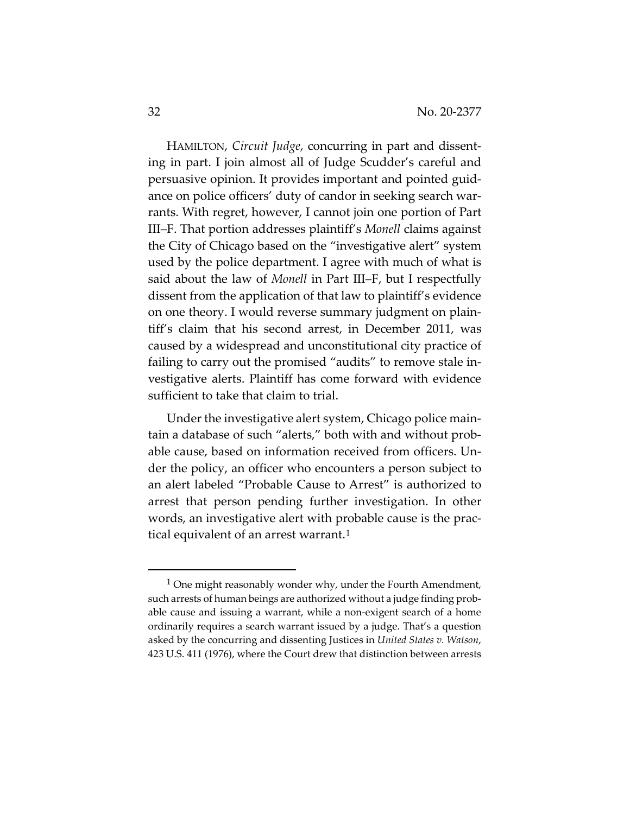HAMILTON, *Circuit Judge*, concurring in part and dissenting in part. I join almost all of Judge Scudder's careful and persuasive opinion. It provides important and pointed guidance on police officers' duty of candor in seeking search warrants. With regret, however, I cannot join one portion of Part III‒F. That portion addresses plaintiff's *Monell* claims against the City of Chicago based on the "investigative alert" system used by the police department. I agree with much of what is said about the law of *Monell* in Part III–F, but I respectfully dissent from the application of that law to plaintiff's evidence on one theory. I would reverse summary judgment on plaintiff's claim that his second arrest, in December 2011, was caused by a widespread and unconstitutional city practice of failing to carry out the promised "audits" to remove stale investigative alerts. Plaintiff has come forward with evidence sufficient to take that claim to trial.

Under the investigative alert system, Chicago police maintain a database of such "alerts," both with and without probable cause, based on information received from officers. Under the policy, an officer who encounters a person subject to an alert labeled "Probable Cause to Arrest" is authorized to arrest that person pending further investigation. In other words, an investigative alert with probable cause is the prac-tical equivalent of an arrest warrant.<sup>[1](#page-31-0)</sup>

<span id="page-31-0"></span><sup>&</sup>lt;sup>1</sup> One might reasonably wonder why, under the Fourth Amendment, such arrests of human beings are authorized without a judge finding probable cause and issuing a warrant, while a non-exigent search of a home ordinarily requires a search warrant issued by a judge. That's a question asked by the concurring and dissenting Justices in *United States v. Watson*, 423 U.S. 411 (1976), where the Court drew that distinction between arrests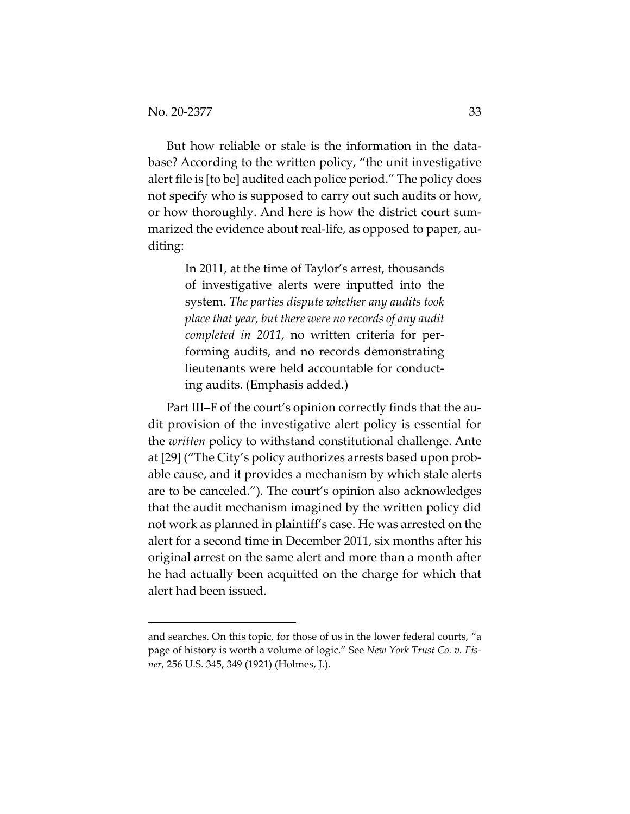But how reliable or stale is the information in the database? According to the written policy, "the unit investigative alert file is [to be] audited each police period." The policy does not specify who is supposed to carry out such audits or how, or how thoroughly. And here is how the district court summarized the evidence about real-life, as opposed to paper, auditing:

> In 2011, at the time of Taylor's arrest, thousands of investigative alerts were inputted into the system. *The parties dispute whether any audits took place that year, but there were no records of any audit completed in 2011*, no written criteria for performing audits, and no records demonstrating lieutenants were held accountable for conducting audits. (Emphasis added.)

Part III–F of the court's opinion correctly finds that the audit provision of the investigative alert policy is essential for the *written* policy to withstand constitutional challenge. Ante at [29] ("The City's policy authorizes arrests based upon probable cause, and it provides a mechanism by which stale alerts are to be canceled."). The court's opinion also acknowledges that the audit mechanism imagined by the written policy did not work as planned in plaintiff's case. He was arrested on the alert for a second time in December 2011, six months after his original arrest on the same alert and more than a month after he had actually been acquitted on the charge for which that alert had been issued.

and searches. On this topic, for those of us in the lower federal courts, "a page of history is worth a volume of logic." See *New York Trust Co. v. Eisner*, 256 U.S. 345, 349 (1921) (Holmes, J.).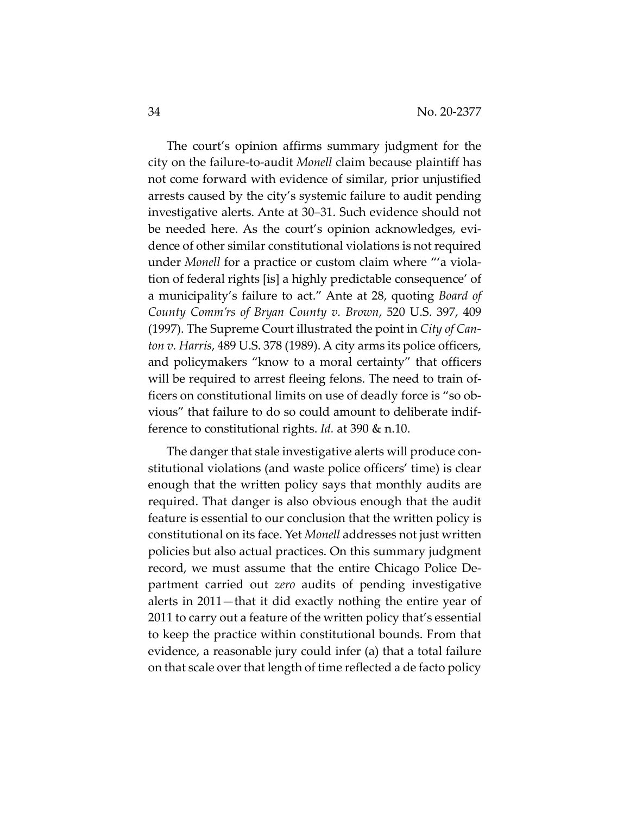The court's opinion affirms summary judgment for the city on the failure-to-audit *Monell* claim because plaintiff has not come forward with evidence of similar, prior unjustified arrests caused by the city's systemic failure to audit pending investigative alerts. Ante at 30–31. Such evidence should not be needed here. As the court's opinion acknowledges, evidence of other similar constitutional violations is not required under *Monell* for a practice or custom claim where "'a violation of federal rights [is] a highly predictable consequence' of a municipality's failure to act." Ante at 28, quoting *Board of County Comm'rs of Bryan County v. Brown*, 520 U.S. 397, 409 (1997). The Supreme Court illustrated the point in *City of Canton v. Harris*, 489 U.S. 378 (1989). A city arms its police officers, and policymakers "know to a moral certainty" that officers will be required to arrest fleeing felons. The need to train officers on constitutional limits on use of deadly force is "so obvious" that failure to do so could amount to deliberate indifference to constitutional rights. *Id.* at 390 & n.10.

The danger that stale investigative alerts will produce constitutional violations (and waste police officers' time) is clear enough that the written policy says that monthly audits are required. That danger is also obvious enough that the audit feature is essential to our conclusion that the written policy is constitutional on its face. Yet *Monell* addresses not just written policies but also actual practices. On this summary judgment record, we must assume that the entire Chicago Police Department carried out *zero* audits of pending investigative alerts in 2011—that it did exactly nothing the entire year of 2011 to carry out a feature of the written policy that's essential to keep the practice within constitutional bounds. From that evidence, a reasonable jury could infer (a) that a total failure on that scale over that length of time reflected a de facto policy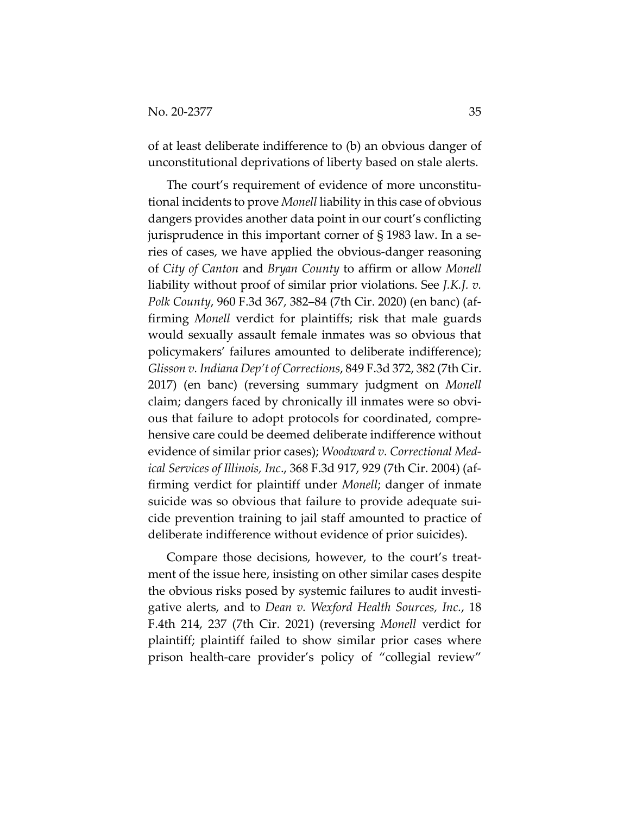of at least deliberate indifference to (b) an obvious danger of unconstitutional deprivations of liberty based on stale alerts.

The court's requirement of evidence of more unconstitutional incidents to prove *Monell* liability in this case of obvious dangers provides another data point in our court's conflicting jurisprudence in this important corner of § 1983 law. In a series of cases, we have applied the obvious-danger reasoning of *City of Canton* and *Bryan County* to affirm or allow *Monell* liability without proof of similar prior violations. See *J.K.J. v. Polk County*, 960 F.3d 367, 382–84 (7th Cir. 2020) (en banc) (affirming *Monell* verdict for plaintiffs; risk that male guards would sexually assault female inmates was so obvious that policymakers' failures amounted to deliberate indifference); *Glisson v. Indiana Dep't of Corrections*, 849 F.3d 372, 382 (7th Cir. 2017) (en banc) (reversing summary judgment on *Monell* claim; dangers faced by chronically ill inmates were so obvious that failure to adopt protocols for coordinated, comprehensive care could be deemed deliberate indifference without evidence of similar prior cases); *Woodward v. Correctional Medical Services of Illinois, Inc*., 368 F.3d 917, 929 (7th Cir. 2004) (affirming verdict for plaintiff under *Monell*; danger of inmate suicide was so obvious that failure to provide adequate suicide prevention training to jail staff amounted to practice of deliberate indifference without evidence of prior suicides).

Compare those decisions, however, to the court's treatment of the issue here, insisting on other similar cases despite the obvious risks posed by systemic failures to audit investigative alerts, and to *Dean v. Wexford Health Sources, Inc.*, 18 F.4th 214, 237 (7th Cir. 2021) (reversing *Monell* verdict for plaintiff; plaintiff failed to show similar prior cases where prison health-care provider's policy of "collegial review"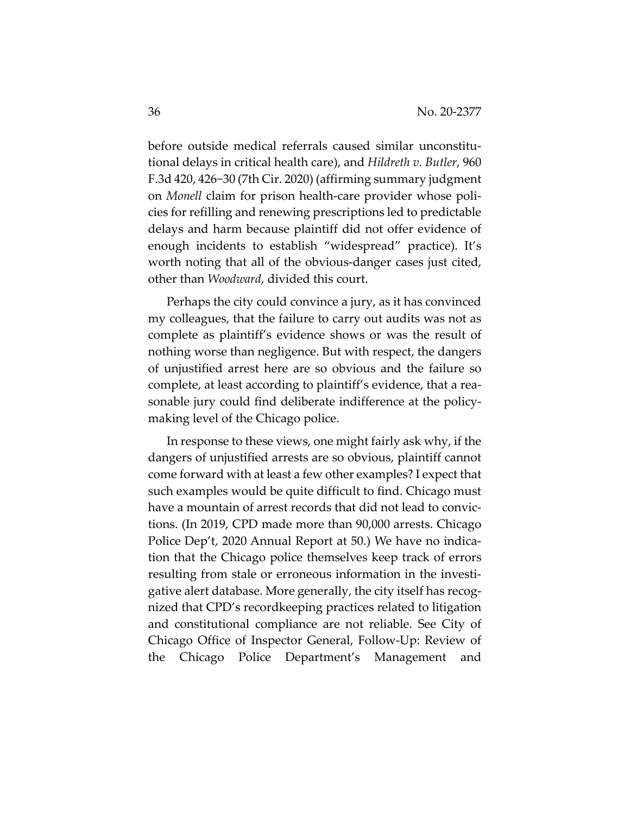before outside medical referrals caused similar unconstitutional delays in critical health care), and *Hildreth v. Butler*, 960 F.3d 420, 426−30 (7th Cir. 2020) (affirming summary judgment on *Monell* claim for prison health-care provider whose policies for refilling and renewing prescriptions led to predictable delays and harm because plaintiff did not offer evidence of enough incidents to establish "widespread" practice). It's worth noting that all of the obvious-danger cases just cited, other than *Woodward*, divided this court.

Perhaps the city could convince a jury, as it has convinced my colleagues, that the failure to carry out audits was not as complete as plaintiff's evidence shows or was the result of nothing worse than negligence. But with respect, the dangers of unjustified arrest here are so obvious and the failure so complete, at least according to plaintiff's evidence, that a reasonable jury could find deliberate indifference at the policymaking level of the Chicago police.

In response to these views, one might fairly ask why, if the dangers of unjustified arrests are so obvious, plaintiff cannot come forward with at least a few other examples? I expect that such examples would be quite difficult to find. Chicago must have a mountain of arrest records that did not lead to convictions. (In 2019, CPD made more than 90,000 arrests. Chicago Police Dep't, 2020 Annual Report at 50.) We have no indication that the Chicago police themselves keep track of errors resulting from stale or erroneous information in the investigative alert database. More generally, the city itself has recognized that CPD's recordkeeping practices related to litigation and constitutional compliance are not reliable. See City of Chicago Office of Inspector General, Follow-Up: Review of the Chicago Police Department's Management and